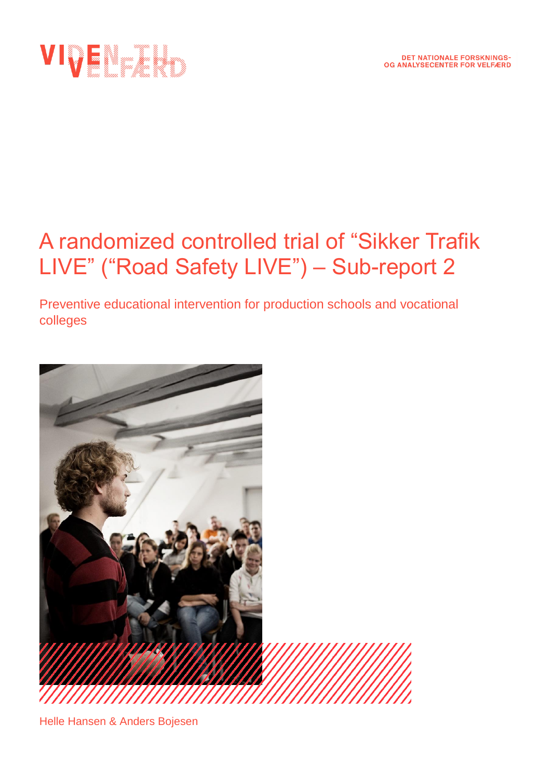

# A randomized controlled trial of "Sikker Trafik LIVE" ("Road Safety LIVE") – Sub-report 2

Preventive educational intervention for production schools and vocational colleges



Helle Hansen & Anders Bojesen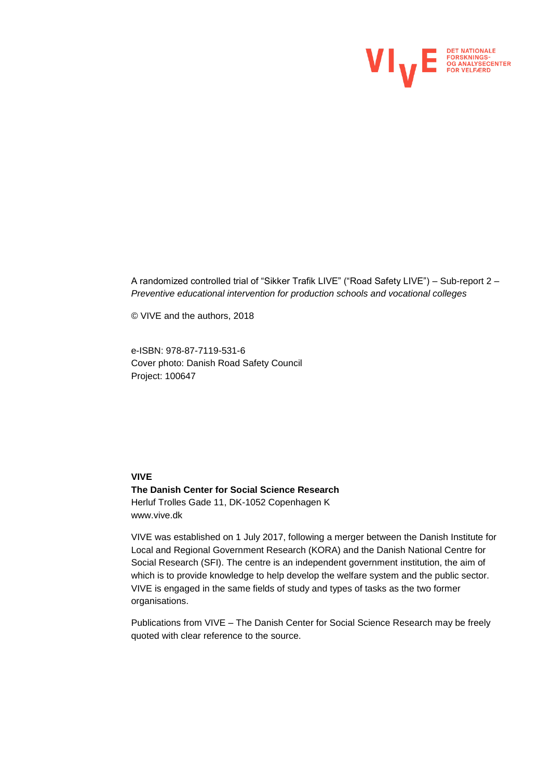

A randomized controlled trial of "Sikker Trafik LIVE" ("Road Safety LIVE") – Sub-report 2 *– Preventive educational intervention for production schools and vocational colleges*

© VIVE and the authors, 2018

e-ISBN: 978-87-7119-531-6 Cover photo: Danish Road Safety Council Project: 100647

#### **VIVE**

**The Danish Center for Social Science Research** Herluf Trolles Gade 11, DK-1052 Copenhagen K www.vive.dk

VIVE was established on 1 July 2017, following a merger between the Danish Institute for Local and Regional Government Research (KORA) and the Danish National Centre for Social Research (SFI). The centre is an independent government institution, the aim of which is to provide knowledge to help develop the welfare system and the public sector. VIVE is engaged in the same fields of study and types of tasks as the two former organisations.

Publications from VIVE – The Danish Center for Social Science Research may be freely quoted with clear reference to the source.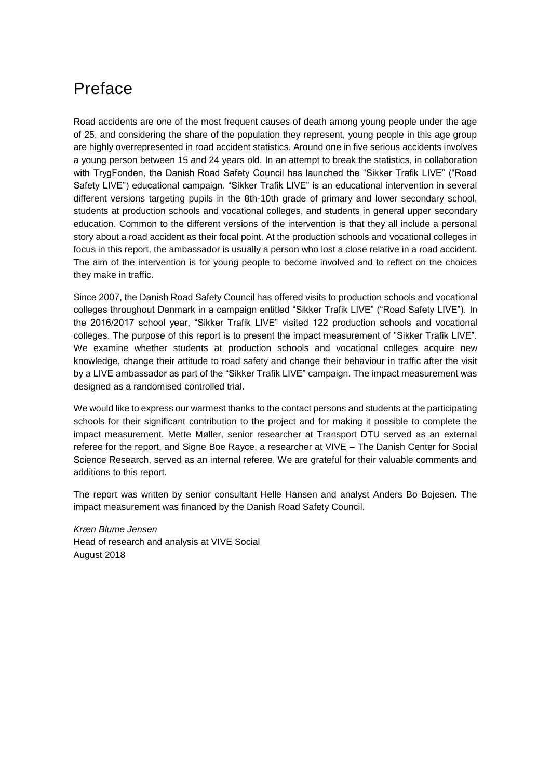## Preface

Road accidents are one of the most frequent causes of death among young people under the age of 25, and considering the share of the population they represent, young people in this age group are highly overrepresented in road accident statistics. Around one in five serious accidents involves a young person between 15 and 24 years old. In an attempt to break the statistics, in collaboration with TrygFonden, the Danish Road Safety Council has launched the "Sikker Trafik LIVE" ("Road Safety LIVE") educational campaign. "Sikker Trafik LIVE" is an educational intervention in several different versions targeting pupils in the 8th-10th grade of primary and lower secondary school, students at production schools and vocational colleges, and students in general upper secondary education. Common to the different versions of the intervention is that they all include a personal story about a road accident as their focal point. At the production schools and vocational colleges in focus in this report, the ambassador is usually a person who lost a close relative in a road accident. The aim of the intervention is for young people to become involved and to reflect on the choices they make in traffic.

Since 2007, the Danish Road Safety Council has offered visits to production schools and vocational colleges throughout Denmark in a campaign entitled "Sikker Trafik LIVE" ("Road Safety LIVE"). In the 2016/2017 school year, "Sikker Trafik LIVE" visited 122 production schools and vocational colleges. The purpose of this report is to present the impact measurement of "Sikker Trafik LIVE". We examine whether students at production schools and vocational colleges acquire new knowledge, change their attitude to road safety and change their behaviour in traffic after the visit by a LIVE ambassador as part of the "Sikker Trafik LIVE" campaign. The impact measurement was designed as a randomised controlled trial.

We would like to express our warmest thanks to the contact persons and students at the participating schools for their significant contribution to the project and for making it possible to complete the impact measurement. Mette Møller, senior researcher at Transport DTU served as an external referee for the report, and Signe Boe Rayce, a researcher at VIVE – The Danish Center for Social Science Research, served as an internal referee. We are grateful for their valuable comments and additions to this report.

The report was written by senior consultant Helle Hansen and analyst Anders Bo Bojesen. The impact measurement was financed by the Danish Road Safety Council.

*Kræn Blume Jensen* Head of research and analysis at VIVE Social August 2018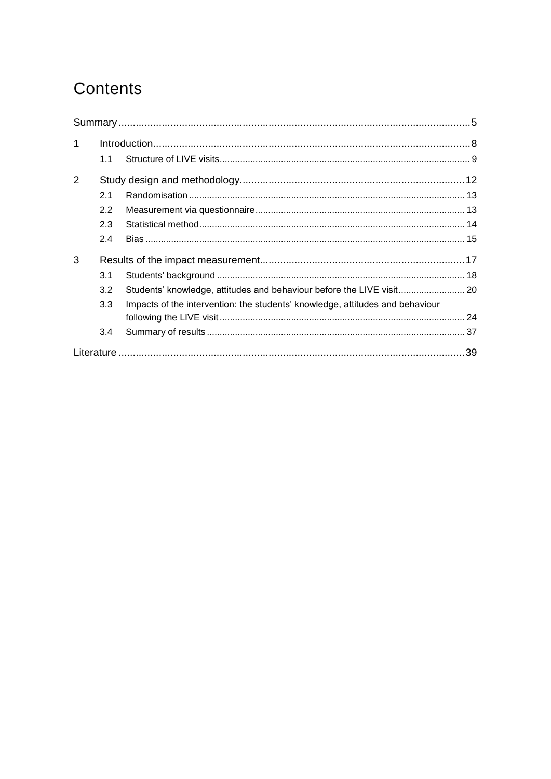## Contents

| $\mathbf{1}$ |     |                                                                               |     |
|--------------|-----|-------------------------------------------------------------------------------|-----|
|              | 1.1 |                                                                               |     |
| 2            |     |                                                                               |     |
|              | 21  |                                                                               |     |
|              | 2.2 |                                                                               |     |
|              | 2.3 |                                                                               |     |
|              | 2.4 |                                                                               |     |
| 3            |     |                                                                               |     |
|              | 3.1 |                                                                               |     |
|              | 3.2 | Students' knowledge, attitudes and behaviour before the LIVE visit 20         |     |
|              | 3.3 | Impacts of the intervention: the students' knowledge, attitudes and behaviour |     |
|              |     |                                                                               |     |
|              | 3.4 |                                                                               |     |
|              |     |                                                                               | .39 |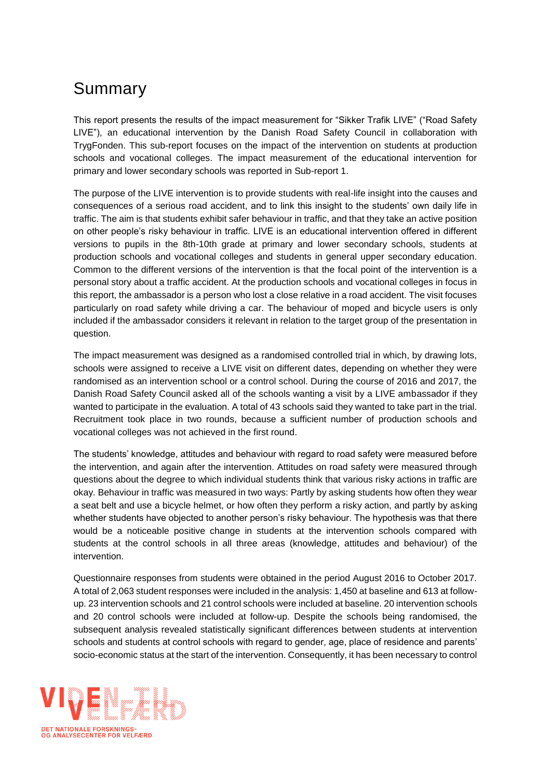## <span id="page-4-0"></span>Summary

This report presents the results of the impact measurement for "Sikker Trafik LIVE" ("Road Safety LIVE"), an educational intervention by the Danish Road Safety Council in collaboration with TrygFonden. This sub-report focuses on the impact of the intervention on students at production schools and vocational colleges. The impact measurement of the educational intervention for primary and lower secondary schools was reported in Sub-report 1.

The purpose of the LIVE intervention is to provide students with real-life insight into the causes and consequences of a serious road accident, and to link this insight to the students' own daily life in traffic. The aim is that students exhibit safer behaviour in traffic, and that they take an active position on other people's risky behaviour in traffic. LIVE is an educational intervention offered in different versions to pupils in the 8th-10th grade at primary and lower secondary schools, students at production schools and vocational colleges and students in general upper secondary education. Common to the different versions of the intervention is that the focal point of the intervention is a personal story about a traffic accident. At the production schools and vocational colleges in focus in this report, the ambassador is a person who lost a close relative in a road accident. The visit focuses particularly on road safety while driving a car. The behaviour of moped and bicycle users is only included if the ambassador considers it relevant in relation to the target group of the presentation in question.

The impact measurement was designed as a randomised controlled trial in which, by drawing lots, schools were assigned to receive a LIVE visit on different dates, depending on whether they were randomised as an intervention school or a control school. During the course of 2016 and 2017, the Danish Road Safety Council asked all of the schools wanting a visit by a LIVE ambassador if they wanted to participate in the evaluation. A total of 43 schools said they wanted to take part in the trial. Recruitment took place in two rounds, because a sufficient number of production schools and vocational colleges was not achieved in the first round.

The students' knowledge, attitudes and behaviour with regard to road safety were measured before the intervention, and again after the intervention. Attitudes on road safety were measured through questions about the degree to which individual students think that various risky actions in traffic are okay. Behaviour in traffic was measured in two ways: Partly by asking students how often they wear a seat belt and use a bicycle helmet, or how often they perform a risky action, and partly by asking whether students have objected to another person's risky behaviour. The hypothesis was that there would be a noticeable positive change in students at the intervention schools compared with students at the control schools in all three areas (knowledge, attitudes and behaviour) of the intervention.

Questionnaire responses from students were obtained in the period August 2016 to October 2017. A total of 2,063 student responses were included in the analysis: 1,450 at baseline and 613 at followup. 23 intervention schools and 21 control schools were included at baseline. 20 intervention schools and 20 control schools were included at follow-up. Despite the schools being randomised, the subsequent analysis revealed statistically significant differences between students at intervention schools and students at control schools with regard to gender, age, place of residence and parents' socio-economic status at the start of the intervention. Consequently, it has been necessary to control

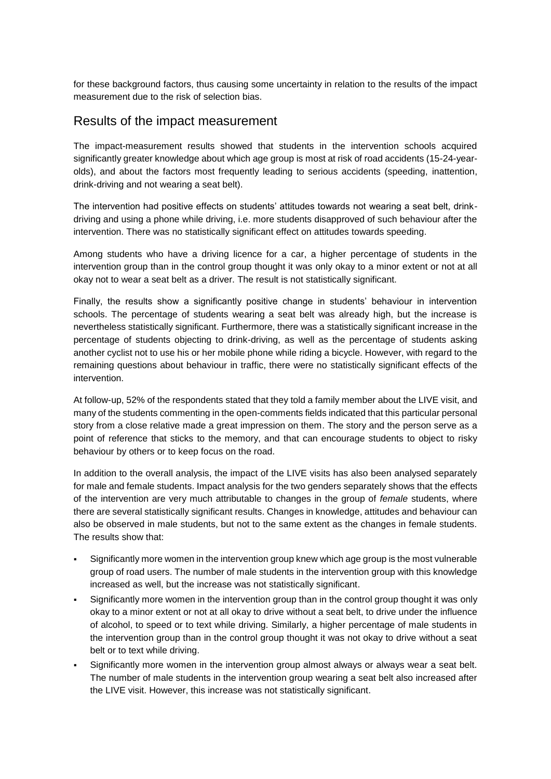for these background factors, thus causing some uncertainty in relation to the results of the impact measurement due to the risk of selection bias.

### Results of the impact measurement

The impact-measurement results showed that students in the intervention schools acquired significantly greater knowledge about which age group is most at risk of road accidents (15-24-yearolds), and about the factors most frequently leading to serious accidents (speeding, inattention, drink-driving and not wearing a seat belt).

The intervention had positive effects on students' attitudes towards not wearing a seat belt, drinkdriving and using a phone while driving, i.e. more students disapproved of such behaviour after the intervention. There was no statistically significant effect on attitudes towards speeding.

Among students who have a driving licence for a car, a higher percentage of students in the intervention group than in the control group thought it was only okay to a minor extent or not at all okay not to wear a seat belt as a driver. The result is not statistically significant.

Finally, the results show a significantly positive change in students' behaviour in intervention schools. The percentage of students wearing a seat belt was already high, but the increase is nevertheless statistically significant. Furthermore, there was a statistically significant increase in the percentage of students objecting to drink-driving, as well as the percentage of students asking another cyclist not to use his or her mobile phone while riding a bicycle. However, with regard to the remaining questions about behaviour in traffic, there were no statistically significant effects of the intervention.

At follow-up, 52% of the respondents stated that they told a family member about the LIVE visit, and many of the students commenting in the open-comments fields indicated that this particular personal story from a close relative made a great impression on them. The story and the person serve as a point of reference that sticks to the memory, and that can encourage students to object to risky behaviour by others or to keep focus on the road.

In addition to the overall analysis, the impact of the LIVE visits has also been analysed separately for male and female students. Impact analysis for the two genders separately shows that the effects of the intervention are very much attributable to changes in the group of *female* students, where there are several statistically significant results. Changes in knowledge, attitudes and behaviour can also be observed in male students, but not to the same extent as the changes in female students. The results show that:

- Significantly more women in the intervention group knew which age group is the most vulnerable group of road users. The number of male students in the intervention group with this knowledge increased as well, but the increase was not statistically significant.
- Significantly more women in the intervention group than in the control group thought it was only okay to a minor extent or not at all okay to drive without a seat belt, to drive under the influence of alcohol, to speed or to text while driving. Similarly, a higher percentage of male students in the intervention group than in the control group thought it was not okay to drive without a seat belt or to text while driving.
- Significantly more women in the intervention group almost always or always wear a seat belt. The number of male students in the intervention group wearing a seat belt also increased after the LIVE visit. However, this increase was not statistically significant.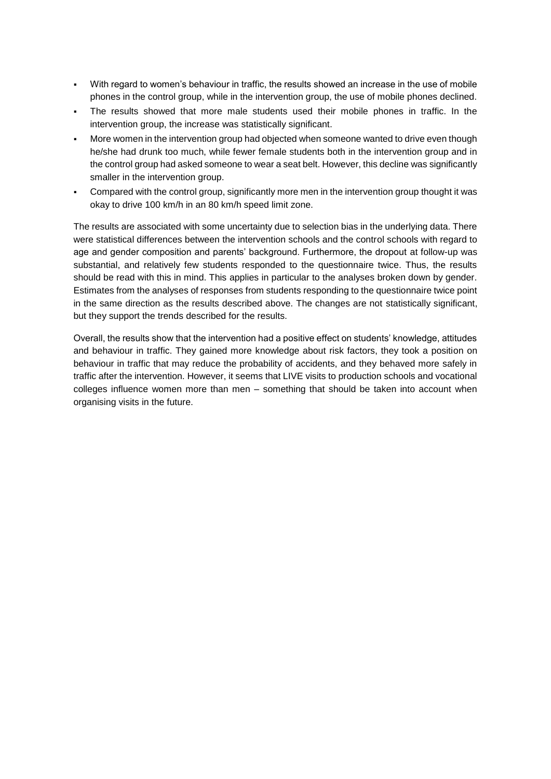- With regard to women's behaviour in traffic, the results showed an increase in the use of mobile phones in the control group, while in the intervention group, the use of mobile phones declined.
- The results showed that more male students used their mobile phones in traffic. In the intervention group, the increase was statistically significant.
- More women in the intervention group had objected when someone wanted to drive even though he/she had drunk too much, while fewer female students both in the intervention group and in the control group had asked someone to wear a seat belt. However, this decline was significantly smaller in the intervention group.
- Compared with the control group, significantly more men in the intervention group thought it was okay to drive 100 km/h in an 80 km/h speed limit zone.

The results are associated with some uncertainty due to selection bias in the underlying data. There were statistical differences between the intervention schools and the control schools with regard to age and gender composition and parents' background. Furthermore, the dropout at follow-up was substantial, and relatively few students responded to the questionnaire twice. Thus, the results should be read with this in mind. This applies in particular to the analyses broken down by gender. Estimates from the analyses of responses from students responding to the questionnaire twice point in the same direction as the results described above. The changes are not statistically significant, but they support the trends described for the results.

Overall, the results show that the intervention had a positive effect on students' knowledge, attitudes and behaviour in traffic. They gained more knowledge about risk factors, they took a position on behaviour in traffic that may reduce the probability of accidents, and they behaved more safely in traffic after the intervention. However, it seems that LIVE visits to production schools and vocational colleges influence women more than men – something that should be taken into account when organising visits in the future.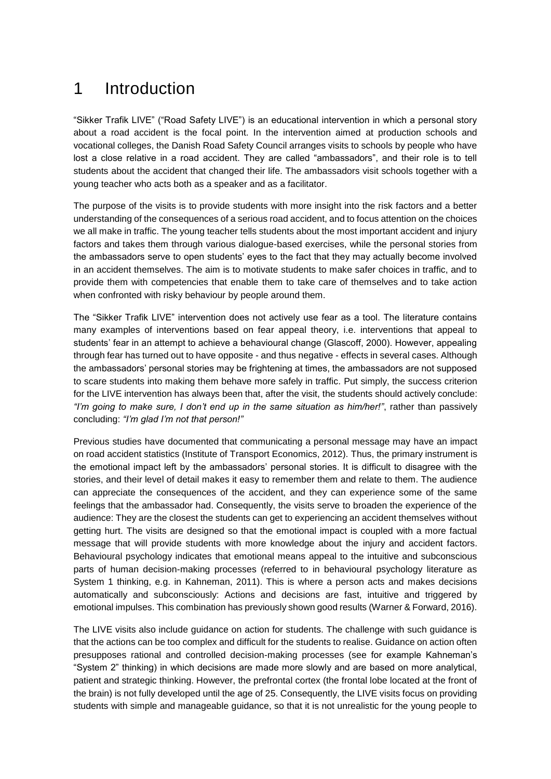## <span id="page-7-0"></span>1 Introduction

"Sikker Trafik LIVE" ("Road Safety LIVE") is an educational intervention in which a personal story about a road accident is the focal point. In the intervention aimed at production schools and vocational colleges, the Danish Road Safety Council arranges visits to schools by people who have lost a close relative in a road accident. They are called "ambassadors", and their role is to tell students about the accident that changed their life. The ambassadors visit schools together with a young teacher who acts both as a speaker and as a facilitator.

The purpose of the visits is to provide students with more insight into the risk factors and a better understanding of the consequences of a serious road accident, and to focus attention on the choices we all make in traffic. The young teacher tells students about the most important accident and injury factors and takes them through various dialogue-based exercises, while the personal stories from the ambassadors serve to open students' eyes to the fact that they may actually become involved in an accident themselves. The aim is to motivate students to make safer choices in traffic, and to provide them with competencies that enable them to take care of themselves and to take action when confronted with risky behaviour by people around them.

The "Sikker Trafik LIVE" intervention does not actively use fear as a tool. The literature contains many examples of interventions based on fear appeal theory, i.e. interventions that appeal to students' fear in an attempt to achieve a behavioural change (Glascoff, 2000). However, appealing through fear has turned out to have opposite - and thus negative - effects in several cases. Although the ambassadors' personal stories may be frightening at times, the ambassadors are not supposed to scare students into making them behave more safely in traffic. Put simply, the success criterion for the LIVE intervention has always been that, after the visit, the students should actively conclude: *"I'm going to make sure, I don't end up in the same situation as him/her!"*, rather than passively concluding: *"I'm glad I'm not that person!"* 

Previous studies have documented that communicating a personal message may have an impact on road accident statistics (Institute of Transport Economics, 2012). Thus, the primary instrument is the emotional impact left by the ambassadors' personal stories. It is difficult to disagree with the stories, and their level of detail makes it easy to remember them and relate to them. The audience can appreciate the consequences of the accident, and they can experience some of the same feelings that the ambassador had. Consequently, the visits serve to broaden the experience of the audience: They are the closest the students can get to experiencing an accident themselves without getting hurt. The visits are designed so that the emotional impact is coupled with a more factual message that will provide students with more knowledge about the injury and accident factors. Behavioural psychology indicates that emotional means appeal to the intuitive and subconscious parts of human decision-making processes (referred to in behavioural psychology literature as System 1 thinking, e.g. in Kahneman, 2011). This is where a person acts and makes decisions automatically and subconsciously: Actions and decisions are fast, intuitive and triggered by emotional impulses. This combination has previously shown good results (Warner & Forward, 2016).

The LIVE visits also include guidance on action for students. The challenge with such guidance is that the actions can be too complex and difficult for the students to realise. Guidance on action often presupposes rational and controlled decision-making processes (see for example Kahneman's "System 2" thinking) in which decisions are made more slowly and are based on more analytical, patient and strategic thinking. However, the prefrontal cortex (the frontal lobe located at the front of the brain) is not fully developed until the age of 25. Consequently, the LIVE visits focus on providing students with simple and manageable guidance, so that it is not unrealistic for the young people to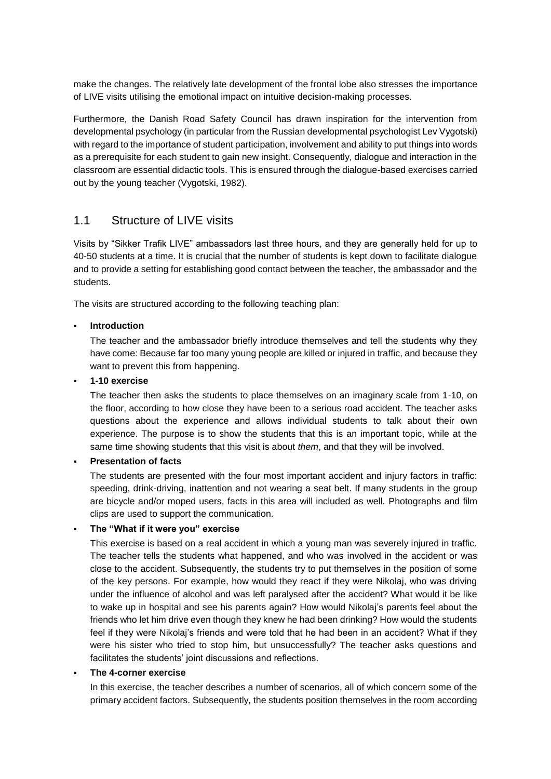make the changes. The relatively late development of the frontal lobe also stresses the importance of LIVE visits utilising the emotional impact on intuitive decision-making processes.

Furthermore, the Danish Road Safety Council has drawn inspiration for the intervention from developmental psychology (in particular from the Russian developmental psychologist Lev Vygotski) with regard to the importance of student participation, involvement and ability to put things into words as a prerequisite for each student to gain new insight. Consequently, dialogue and interaction in the classroom are essential didactic tools. This is ensured through the dialogue-based exercises carried out by the young teacher (Vygotski, 1982).

### <span id="page-8-0"></span>1.1 Structure of LIVE visits

Visits by "Sikker Trafik LIVE" ambassadors last three hours, and they are generally held for up to 40-50 students at a time. It is crucial that the number of students is kept down to facilitate dialogue and to provide a setting for establishing good contact between the teacher, the ambassador and the students.

The visits are structured according to the following teaching plan:

#### **Introduction**

The teacher and the ambassador briefly introduce themselves and tell the students why they have come: Because far too many young people are killed or injured in traffic, and because they want to prevent this from happening.

#### ▪ **1-10 exercise**

The teacher then asks the students to place themselves on an imaginary scale from 1-10, on the floor, according to how close they have been to a serious road accident. The teacher asks questions about the experience and allows individual students to talk about their own experience. The purpose is to show the students that this is an important topic, while at the same time showing students that this visit is about *them*, and that they will be involved.

#### **Presentation of facts**

The students are presented with the four most important accident and injury factors in traffic: speeding, drink-driving, inattention and not wearing a seat belt. If many students in the group are bicycle and/or moped users, facts in this area will included as well. Photographs and film clips are used to support the communication.

#### The "What if it were you" exercise

This exercise is based on a real accident in which a young man was severely injured in traffic. The teacher tells the students what happened, and who was involved in the accident or was close to the accident. Subsequently, the students try to put themselves in the position of some of the key persons. For example, how would they react if they were Nikolaj, who was driving under the influence of alcohol and was left paralysed after the accident? What would it be like to wake up in hospital and see his parents again? How would Nikolaj's parents feel about the friends who let him drive even though they knew he had been drinking? How would the students feel if they were Nikolaj's friends and were told that he had been in an accident? What if they were his sister who tried to stop him, but unsuccessfully? The teacher asks questions and facilitates the students' joint discussions and reflections.

#### **The 4-corner exercise**

In this exercise, the teacher describes a number of scenarios, all of which concern some of the primary accident factors. Subsequently, the students position themselves in the room according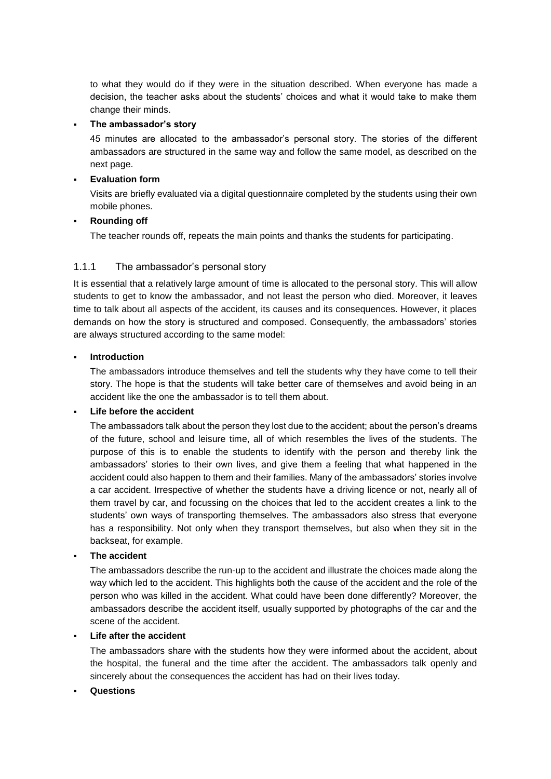to what they would do if they were in the situation described. When everyone has made a decision, the teacher asks about the students' choices and what it would take to make them change their minds.

#### The ambassador's story

45 minutes are allocated to the ambassador's personal story. The stories of the different ambassadors are structured in the same way and follow the same model, as described on the next page.

#### **Evaluation form**

Visits are briefly evaluated via a digital questionnaire completed by the students using their own mobile phones.

#### **Rounding off**

The teacher rounds off, repeats the main points and thanks the students for participating.

#### 1.1.1 The ambassador's personal story

It is essential that a relatively large amount of time is allocated to the personal story. This will allow students to get to know the ambassador, and not least the person who died. Moreover, it leaves time to talk about all aspects of the accident, its causes and its consequences. However, it places demands on how the story is structured and composed. Consequently, the ambassadors' stories are always structured according to the same model:

#### **Introduction**

The ambassadors introduce themselves and tell the students why they have come to tell their story. The hope is that the students will take better care of themselves and avoid being in an accident like the one the ambassador is to tell them about.

#### **Life before the accident**

The ambassadors talk about the person they lost due to the accident; about the person's dreams of the future, school and leisure time, all of which resembles the lives of the students. The purpose of this is to enable the students to identify with the person and thereby link the ambassadors' stories to their own lives, and give them a feeling that what happened in the accident could also happen to them and their families. Many of the ambassadors' stories involve a car accident. Irrespective of whether the students have a driving licence or not, nearly all of them travel by car, and focussing on the choices that led to the accident creates a link to the students' own ways of transporting themselves. The ambassadors also stress that everyone has a responsibility. Not only when they transport themselves, but also when they sit in the backseat, for example.

#### **The accident**

The ambassadors describe the run-up to the accident and illustrate the choices made along the way which led to the accident. This highlights both the cause of the accident and the role of the person who was killed in the accident. What could have been done differently? Moreover, the ambassadors describe the accident itself, usually supported by photographs of the car and the scene of the accident.

#### **Life after the accident**

The ambassadors share with the students how they were informed about the accident, about the hospital, the funeral and the time after the accident. The ambassadors talk openly and sincerely about the consequences the accident has had on their lives today.

#### **Questions**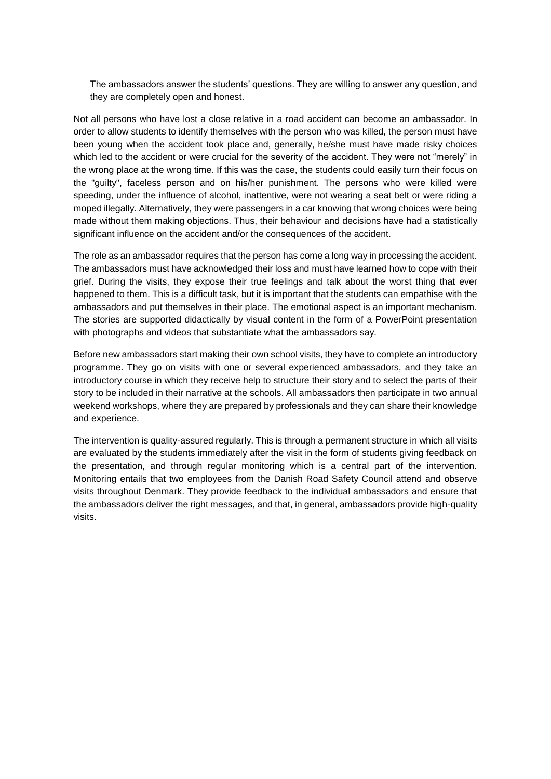The ambassadors answer the students' questions. They are willing to answer any question, and they are completely open and honest.

Not all persons who have lost a close relative in a road accident can become an ambassador. In order to allow students to identify themselves with the person who was killed, the person must have been young when the accident took place and, generally, he/she must have made risky choices which led to the accident or were crucial for the severity of the accident. They were not "merely" in the wrong place at the wrong time. If this was the case, the students could easily turn their focus on the "guilty", faceless person and on his/her punishment. The persons who were killed were speeding, under the influence of alcohol, inattentive, were not wearing a seat belt or were riding a moped illegally. Alternatively, they were passengers in a car knowing that wrong choices were being made without them making objections. Thus, their behaviour and decisions have had a statistically significant influence on the accident and/or the consequences of the accident.

The role as an ambassador requires that the person has come a long way in processing the accident. The ambassadors must have acknowledged their loss and must have learned how to cope with their grief. During the visits, they expose their true feelings and talk about the worst thing that ever happened to them. This is a difficult task, but it is important that the students can empathise with the ambassadors and put themselves in their place. The emotional aspect is an important mechanism. The stories are supported didactically by visual content in the form of a PowerPoint presentation with photographs and videos that substantiate what the ambassadors say.

Before new ambassadors start making their own school visits, they have to complete an introductory programme. They go on visits with one or several experienced ambassadors, and they take an introductory course in which they receive help to structure their story and to select the parts of their story to be included in their narrative at the schools. All ambassadors then participate in two annual weekend workshops, where they are prepared by professionals and they can share their knowledge and experience.

The intervention is quality-assured regularly. This is through a permanent structure in which all visits are evaluated by the students immediately after the visit in the form of students giving feedback on the presentation, and through regular monitoring which is a central part of the intervention. Monitoring entails that two employees from the Danish Road Safety Council attend and observe visits throughout Denmark. They provide feedback to the individual ambassadors and ensure that the ambassadors deliver the right messages, and that, in general, ambassadors provide high-quality visits.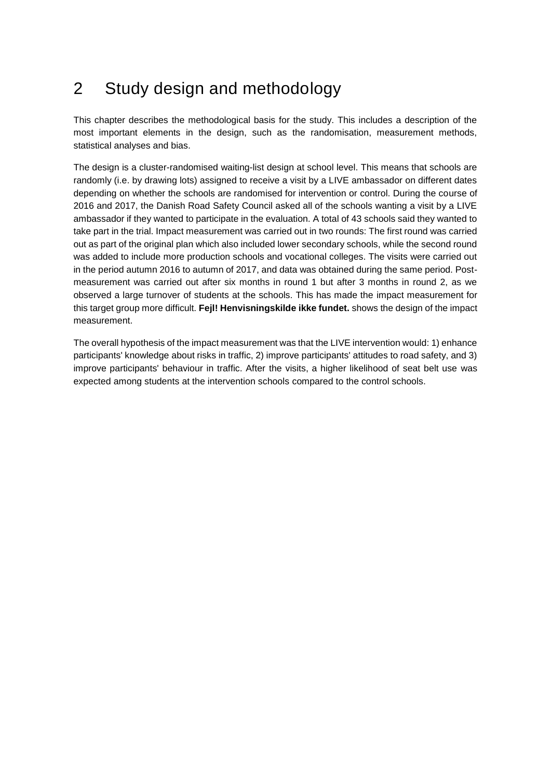## <span id="page-11-0"></span>2 Study design and methodology

This chapter describes the methodological basis for the study. This includes a description of the most important elements in the design, such as the randomisation, measurement methods, statistical analyses and bias.

The design is a cluster-randomised waiting-list design at school level. This means that schools are randomly (i.e. by drawing lots) assigned to receive a visit by a LIVE ambassador on different dates depending on whether the schools are randomised for intervention or control. During the course of 2016 and 2017, the Danish Road Safety Council asked all of the schools wanting a visit by a LIVE ambassador if they wanted to participate in the evaluation. A total of 43 schools said they wanted to take part in the trial. Impact measurement was carried out in two rounds: The first round was carried out as part of the original plan which also included lower secondary schools, while the second round was added to include more production schools and vocational colleges. The visits were carried out in the period autumn 2016 to autumn of 2017, and data was obtained during the same period. Postmeasurement was carried out after six months in round 1 but after 3 months in round 2, as we observed a large turnover of students at the schools. This has made the impact measurement for this target group more difficult. **Fejl! Henvisningskilde ikke fundet.** shows the design of the impact measurement.

The overall hypothesis of the impact measurement was that the LIVE intervention would: 1) enhance participants' knowledge about risks in traffic, 2) improve participants' attitudes to road safety, and 3) improve participants' behaviour in traffic. After the visits, a higher likelihood of seat belt use was expected among students at the intervention schools compared to the control schools.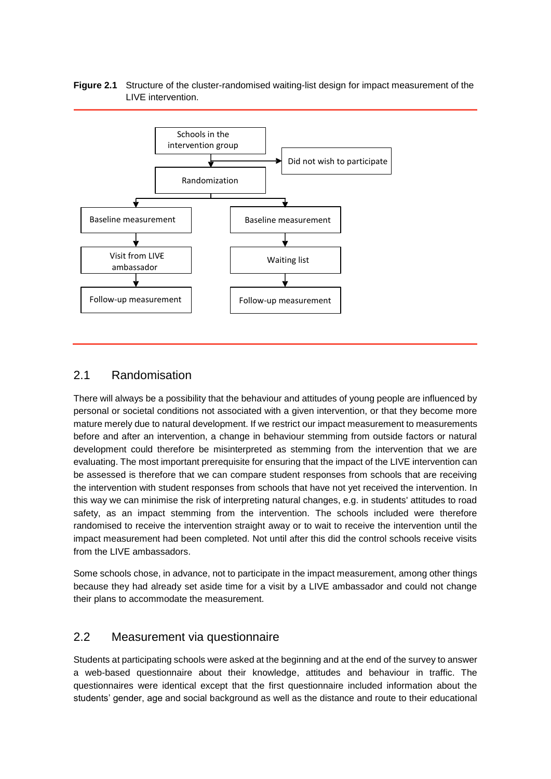#### **Figure 2.1** Structure of the cluster-randomised waiting-list design for impact measurement of the LIVE intervention.



### <span id="page-12-0"></span>2.1 Randomisation

There will always be a possibility that the behaviour and attitudes of young people are influenced by personal or societal conditions not associated with a given intervention, or that they become more mature merely due to natural development. If we restrict our impact measurement to measurements before and after an intervention, a change in behaviour stemming from outside factors or natural development could therefore be misinterpreted as stemming from the intervention that we are evaluating. The most important prerequisite for ensuring that the impact of the LIVE intervention can be assessed is therefore that we can compare student responses from schools that are receiving the intervention with student responses from schools that have not yet received the intervention. In this way we can minimise the risk of interpreting natural changes, e.g. in students' attitudes to road safety, as an impact stemming from the intervention. The schools included were therefore randomised to receive the intervention straight away or to wait to receive the intervention until the impact measurement had been completed. Not until after this did the control schools receive visits from the LIVE ambassadors.

Some schools chose, in advance, not to participate in the impact measurement, among other things because they had already set aside time for a visit by a LIVE ambassador and could not change their plans to accommodate the measurement.

#### <span id="page-12-1"></span>2.2 Measurement via questionnaire

Students at participating schools were asked at the beginning and at the end of the survey to answer a web-based questionnaire about their knowledge, attitudes and behaviour in traffic. The questionnaires were identical except that the first questionnaire included information about the students' gender, age and social background as well as the distance and route to their educational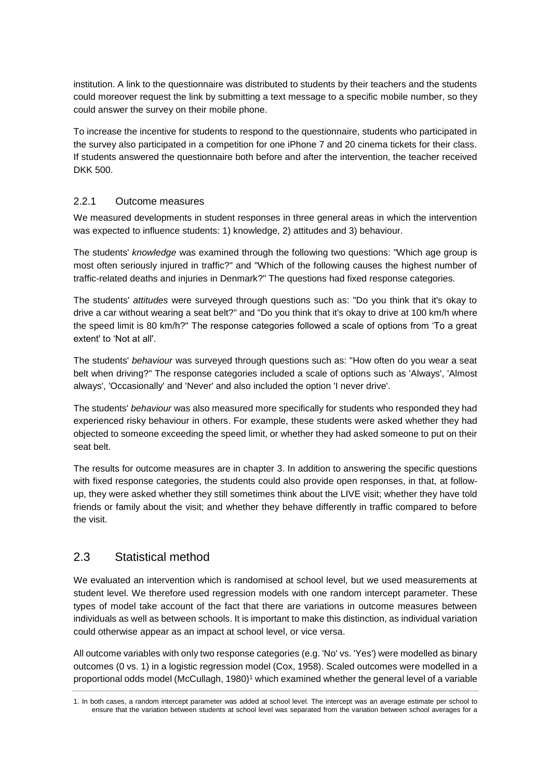institution. A link to the questionnaire was distributed to students by their teachers and the students could moreover request the link by submitting a text message to a specific mobile number, so they could answer the survey on their mobile phone.

To increase the incentive for students to respond to the questionnaire, students who participated in the survey also participated in a competition for one iPhone 7 and 20 cinema tickets for their class. If students answered the questionnaire both before and after the intervention, the teacher received DKK 500.

#### 2.2.1 Outcome measures

We measured developments in student responses in three general areas in which the intervention was expected to influence students: 1) knowledge, 2) attitudes and 3) behaviour.

The students' *knowledge* was examined through the following two questions: "Which age group is most often seriously injured in traffic?" and "Which of the following causes the highest number of traffic-related deaths and injuries in Denmark?" The questions had fixed response categories.

The students' *attitudes* were surveyed through questions such as: "Do you think that it's okay to drive a car without wearing a seat belt?" and "Do you think that it's okay to drive at 100 km/h where the speed limit is 80 km/h?" The response categories followed a scale of options from 'To a great extent' to 'Not at all'.

The students' *behaviour* was surveyed through questions such as: "How often do you wear a seat belt when driving?" The response categories included a scale of options such as 'Always', 'Almost always', 'Occasionally' and 'Never' and also included the option 'I never drive'.

The students' *behaviour* was also measured more specifically for students who responded they had experienced risky behaviour in others. For example, these students were asked whether they had objected to someone exceeding the speed limit, or whether they had asked someone to put on their seat belt.

The results for outcome measures are in chapter 3. In addition to answering the specific questions with fixed response categories, the students could also provide open responses, in that, at followup, they were asked whether they still sometimes think about the LIVE visit; whether they have told friends or family about the visit; and whether they behave differently in traffic compared to before the visit.

### <span id="page-13-0"></span>2.3 Statistical method

We evaluated an intervention which is randomised at school level, but we used measurements at student level. We therefore used regression models with one random intercept parameter. These types of model take account of the fact that there are variations in outcome measures between individuals as well as between schools. It is important to make this distinction, as individual variation could otherwise appear as an impact at school level, or vice versa.

All outcome variables with only two response categories (e.g. 'No' vs. 'Yes') were modelled as binary outcomes (0 vs. 1) in a logistic regression model (Cox, 1958). Scaled outcomes were modelled in a proportional odds model (McCullagh, 1980)<sup>1</sup> which examined whether the general level of a variable

<sup>1.</sup> In both cases, a random intercept parameter was added at school level. The intercept was an average estimate per school to ensure that the variation between students at school level was separated from the variation between school averages for a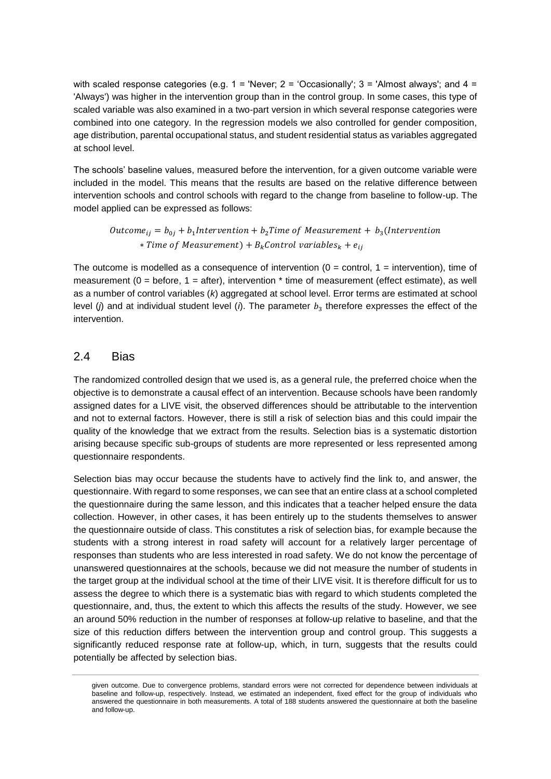with scaled response categories (e.g.  $1 =$  'Never;  $2 =$  'Occasionally';  $3 =$  'Almost always'; and  $4 =$ 'Always') was higher in the intervention group than in the control group. In some cases, this type of scaled variable was also examined in a two-part version in which several response categories were combined into one category. In the regression models we also controlled for gender composition, age distribution, parental occupational status, and student residential status as variables aggregated at school level.

The schools' baseline values, measured before the intervention, for a given outcome variable were included in the model. This means that the results are based on the relative difference between intervention schools and control schools with regard to the change from baseline to follow-up. The model applied can be expressed as follows:

Outcome<sub>ij</sub> =  $b_{0j}$  +  $b_1$ Intervention +  $b_2$ Time of Measurement +  $b_3$ (Intervention ∗ )+ +

The outcome is modelled as a consequence of intervention  $(0 =$  control,  $1 =$  intervention), time of measurement ( $0 =$  before,  $1 =$  after), intervention  $*$  time of measurement (effect estimate), as well as a number of control variables (*k*) aggregated at school level. Error terms are estimated at school level (*j*) and at individual student level (*i*). The parameter  $b_3$  therefore expresses the effect of the intervention.

#### <span id="page-14-0"></span>2.4 Bias

The randomized controlled design that we used is, as a general rule, the preferred choice when the objective is to demonstrate a causal effect of an intervention. Because schools have been randomly assigned dates for a LIVE visit, the observed differences should be attributable to the intervention and not to external factors. However, there is still a risk of selection bias and this could impair the quality of the knowledge that we extract from the results. Selection bias is a systematic distortion arising because specific sub-groups of students are more represented or less represented among questionnaire respondents.

Selection bias may occur because the students have to actively find the link to, and answer, the questionnaire. With regard to some responses, we can see that an entire class at a school completed the questionnaire during the same lesson, and this indicates that a teacher helped ensure the data collection. However, in other cases, it has been entirely up to the students themselves to answer the questionnaire outside of class. This constitutes a risk of selection bias, for example because the students with a strong interest in road safety will account for a relatively larger percentage of responses than students who are less interested in road safety. We do not know the percentage of unanswered questionnaires at the schools, because we did not measure the number of students in the target group at the individual school at the time of their LIVE visit. It is therefore difficult for us to assess the degree to which there is a systematic bias with regard to which students completed the questionnaire, and, thus, the extent to which this affects the results of the study. However, we see an around 50% reduction in the number of responses at follow-up relative to baseline, and that the size of this reduction differs between the intervention group and control group. This suggests a significantly reduced response rate at follow-up, which, in turn, suggests that the results could potentially be affected by selection bias.

given outcome. Due to convergence problems, standard errors were not corrected for dependence between individuals at baseline and follow-up, respectively. Instead, we estimated an independent, fixed effect for the group of individuals who answered the questionnaire in both measurements. A total of 188 students answered the questionnaire at both the baseline and follow-up.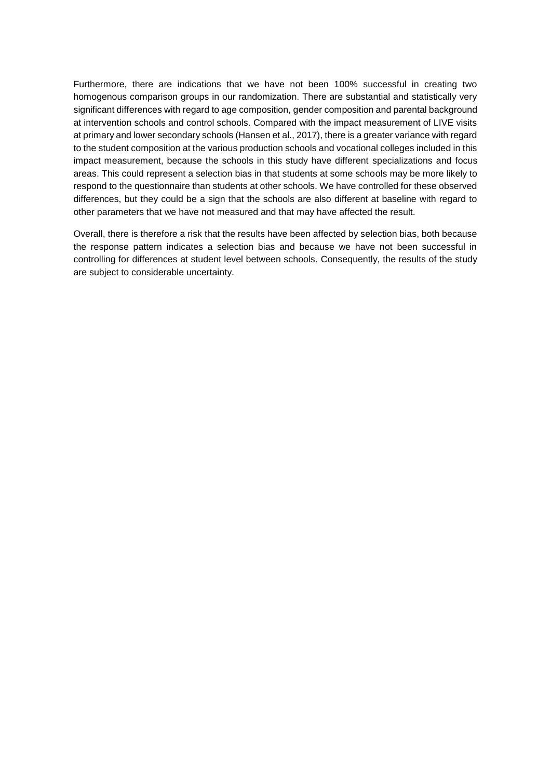Furthermore, there are indications that we have not been 100% successful in creating two homogenous comparison groups in our randomization. There are substantial and statistically very significant differences with regard to age composition, gender composition and parental background at intervention schools and control schools. Compared with the impact measurement of LIVE visits at primary and lower secondary schools (Hansen et al., 2017), there is a greater variance with regard to the student composition at the various production schools and vocational colleges included in this impact measurement, because the schools in this study have different specializations and focus areas. This could represent a selection bias in that students at some schools may be more likely to respond to the questionnaire than students at other schools. We have controlled for these observed differences, but they could be a sign that the schools are also different at baseline with regard to other parameters that we have not measured and that may have affected the result.

Overall, there is therefore a risk that the results have been affected by selection bias, both because the response pattern indicates a selection bias and because we have not been successful in controlling for differences at student level between schools. Consequently, the results of the study are subject to considerable uncertainty.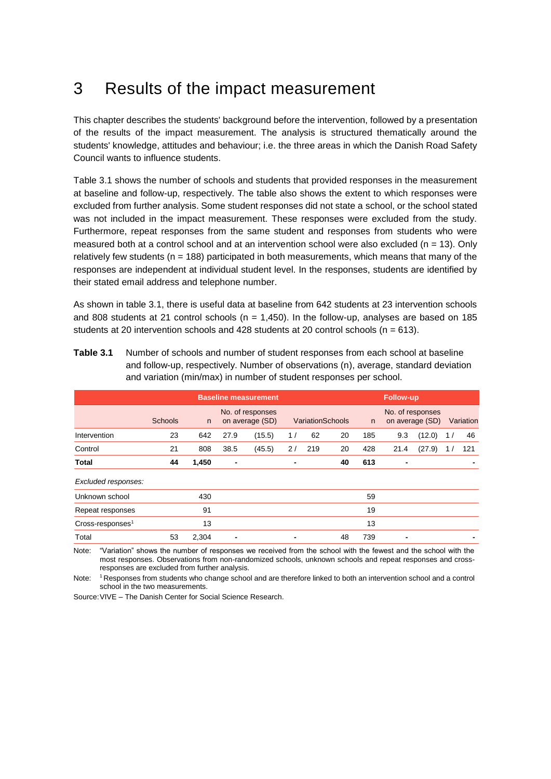## <span id="page-16-0"></span>3 Results of the impact measurement

This chapter describes the students' background before the intervention, followed by a presentation of the results of the impact measurement. The analysis is structured thematically around the students' knowledge, attitudes and behaviour; i.e. the three areas in which the Danish Road Safety Council wants to influence students.

Table 3.1 shows the number of schools and students that provided responses in the measurement at baseline and follow-up, respectively. The table also shows the extent to which responses were excluded from further analysis. Some student responses did not state a school, or the school stated was not included in the impact measurement. These responses were excluded from the study. Furthermore, repeat responses from the same student and responses from students who were measured both at a control school and at an intervention school were also excluded ( $n = 13$ ). Only relatively few students ( $n = 188$ ) participated in both measurements, which means that many of the responses are independent at individual student level. In the responses, students are identified by their stated email address and telephone number.

As shown in table 3.1, there is useful data at baseline from 642 students at 23 intervention schools and 808 students at 21 control schools ( $n = 1,450$ ). In the follow-up, analyses are based on 185 students at 20 intervention schools and 428 students at 20 control schools  $(n = 613)$ .

**Table 3.1** Number of schools and number of student responses from each school at baseline and follow-up, respectively. Number of observations (n), average, standard deviation and variation (min/max) in number of student responses per school.

|                              |                |       | <b>Baseline measurement</b> | <b>Follow-up</b>                    |    |                         |    |     |      |                                     |    |           |
|------------------------------|----------------|-------|-----------------------------|-------------------------------------|----|-------------------------|----|-----|------|-------------------------------------|----|-----------|
|                              | <b>Schools</b> | n     |                             | No. of responses<br>on average (SD) |    | <b>VariationSchools</b> |    | n.  |      | No. of responses<br>on average (SD) |    | Variation |
| Intervention                 | 23             | 642   | 27.9                        | (15.5)                              | 1/ | 62                      | 20 | 185 | 9.3  | (12.0)                              | 1/ | 46        |
| Control                      | 21             | 808   | 38.5                        | (45.5)                              | 2/ | 219                     | 20 | 428 | 21.4 | (27.9)                              | 17 | 121       |
| <b>Total</b>                 | 44             | 1,450 | $\blacksquare$              |                                     | ٠  |                         | 40 | 613 | ٠    |                                     |    |           |
| Excluded responses:          |                |       |                             |                                     |    |                         |    |     |      |                                     |    |           |
| Unknown school               |                | 430   |                             |                                     |    |                         |    | 59  |      |                                     |    |           |
| Repeat responses             |                | 91    |                             |                                     |    |                         |    | 19  |      |                                     |    |           |
| Cross-responses <sup>1</sup> |                | 13    |                             |                                     |    |                         |    | 13  |      |                                     |    |           |
| Total                        | 53             | 2.304 |                             |                                     |    |                         | 48 | 739 |      |                                     |    |           |

Note: "Variation" shows the number of responses we received from the school with the fewest and the school with the most responses. Observations from non-randomized schools, unknown schools and repeat responses and crossresponses are excluded from further analysis.

Note: <sup>1</sup>Responses from students who change school and are therefore linked to both an intervention school and a control school in the two measurements.

Source:VIVE – The Danish Center for Social Science Research.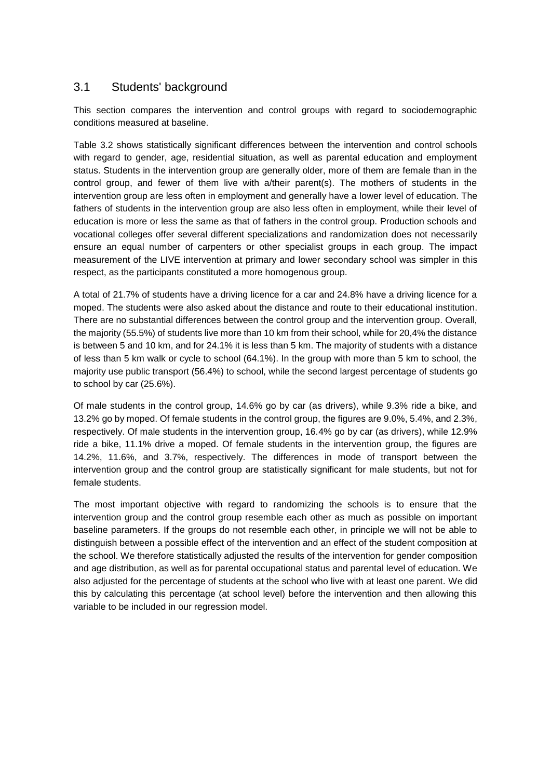### <span id="page-17-0"></span>3.1 Students' background

This section compares the intervention and control groups with regard to sociodemographic conditions measured at baseline.

[Table 3.2](#page-18-0) shows statistically significant differences between the intervention and control schools with regard to gender, age, residential situation, as well as parental education and employment status. Students in the intervention group are generally older, more of them are female than in the control group, and fewer of them live with a/their parent(s). The mothers of students in the intervention group are less often in employment and generally have a lower level of education. The fathers of students in the intervention group are also less often in employment, while their level of education is more or less the same as that of fathers in the control group. Production schools and vocational colleges offer several different specializations and randomization does not necessarily ensure an equal number of carpenters or other specialist groups in each group. The impact measurement of the LIVE intervention at primary and lower secondary school was simpler in this respect, as the participants constituted a more homogenous group.

A total of 21.7% of students have a driving licence for a car and 24.8% have a driving licence for a moped. The students were also asked about the distance and route to their educational institution. There are no substantial differences between the control group and the intervention group. Overall, the majority (55.5%) of students live more than 10 km from their school, while for 20,4% the distance is between 5 and 10 km, and for 24.1% it is less than 5 km. The majority of students with a distance of less than 5 km walk or cycle to school (64.1%). In the group with more than 5 km to school, the majority use public transport (56.4%) to school, while the second largest percentage of students go to school by car (25.6%).

Of male students in the control group, 14.6% go by car (as drivers), while 9.3% ride a bike, and 13.2% go by moped. Of female students in the control group, the figures are 9.0%, 5.4%, and 2.3%, respectively. Of male students in the intervention group, 16.4% go by car (as drivers), while 12.9% ride a bike, 11.1% drive a moped. Of female students in the intervention group, the figures are 14.2%, 11.6%, and 3.7%, respectively. The differences in mode of transport between the intervention group and the control group are statistically significant for male students, but not for female students.

The most important objective with regard to randomizing the schools is to ensure that the intervention group and the control group resemble each other as much as possible on important baseline parameters. If the groups do not resemble each other, in principle we will not be able to distinguish between a possible effect of the intervention and an effect of the student composition at the school. We therefore statistically adjusted the results of the intervention for gender composition and age distribution, as well as for parental occupational status and parental level of education. We also adjusted for the percentage of students at the school who live with at least one parent. We did this by calculating this percentage (at school level) before the intervention and then allowing this variable to be included in our regression model.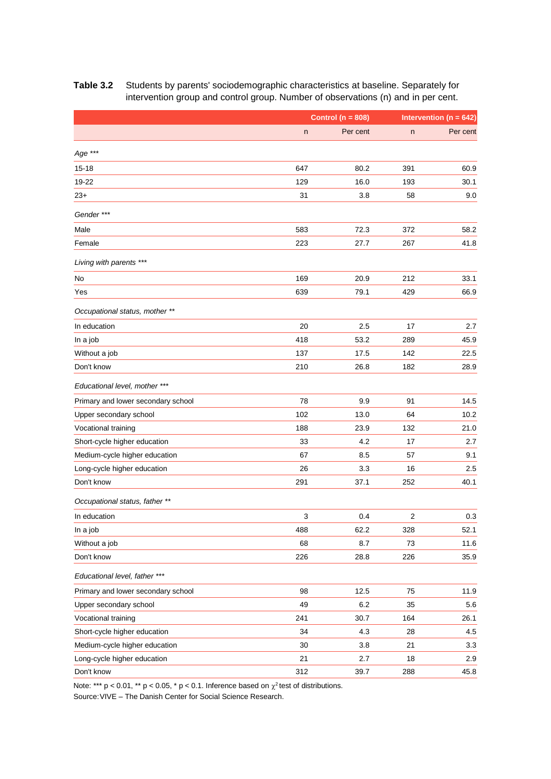|                                    |     | Control ( $n = 808$ ) |     | Intervention ( $n = 642$ ) |
|------------------------------------|-----|-----------------------|-----|----------------------------|
|                                    | n   | Per cent              | n   | Per cent                   |
| Age ***                            |     |                       |     |                            |
| $15 - 18$                          | 647 | 80.2                  | 391 | 60.9                       |
| 19-22                              | 129 | 16.0                  | 193 | 30.1                       |
| $23+$                              | 31  | 3.8                   | 58  | 9.0                        |
| Gender ***                         |     |                       |     |                            |
| Male                               | 583 | 72.3                  | 372 | 58.2                       |
| Female                             | 223 | 27.7                  | 267 | 41.8                       |
| Living with parents ***            |     |                       |     |                            |
| No                                 | 169 | 20.9                  | 212 | 33.1                       |
| Yes                                | 639 | 79.1                  | 429 | 66.9                       |
| Occupational status, mother **     |     |                       |     |                            |
| In education                       | 20  | 2.5                   | 17  | 2.7                        |
| In a job                           | 418 | 53.2                  | 289 | 45.9                       |
| Without a job                      | 137 | 17.5                  | 142 | 22.5                       |
| Don't know                         | 210 | 26.8                  | 182 | 28.9                       |
| Educational level, mother ***      |     |                       |     |                            |
| Primary and lower secondary school | 78  | 9.9                   | 91  | 14.5                       |
| Upper secondary school             | 102 | 13.0                  | 64  | 10.2                       |
| Vocational training                | 188 | 23.9                  | 132 | 21.0                       |
| Short-cycle higher education       | 33  | 4.2                   | 17  | 2.7                        |
| Medium-cycle higher education      | 67  | 8.5                   | 57  | 9.1                        |
| Long-cycle higher education        | 26  | 3.3                   | 16  | 2.5                        |
| Don't know                         | 291 | 37.1                  | 252 | 40.1                       |
| Occupational status, father **     |     |                       |     |                            |
| In education                       | 3   | 0.4                   | 2   | 0.3                        |
| In a job                           | 488 | 62.2                  | 328 | 52.1                       |
| Without a job                      | 68  | 8.7                   | 73  | 11.6                       |
| Don't know                         | 226 | 28.8                  | 226 | 35.9                       |
| Educational level, father ***      |     |                       |     |                            |
| Primary and lower secondary school | 98  | 12.5                  | 75  | 11.9                       |
| Upper secondary school             | 49  | 6.2                   | 35  | 5.6                        |
| Vocational training                | 241 | 30.7                  | 164 | 26.1                       |
| Short-cycle higher education       | 34  | 4.3                   | 28  | 4.5                        |
| Medium-cycle higher education      | 30  | 3.8                   | 21  | 3.3                        |
| Long-cycle higher education        | 21  | 2.7                   | 18  | 2.9                        |
| Don't know                         | 312 | 39.7                  | 288 | 45.8                       |

#### <span id="page-18-0"></span>**Table 3.2** Students by parents' sociodemographic characteristics at baseline. Separately for intervention group and control group. Number of observations (n) and in per cent.

Note: \*\*\* p < 0.01, \*\* p < 0.05, \* p < 0.1. Inference based on  $\chi^2$  test of distributions.

Source:VIVE – The Danish Center for Social Science Research.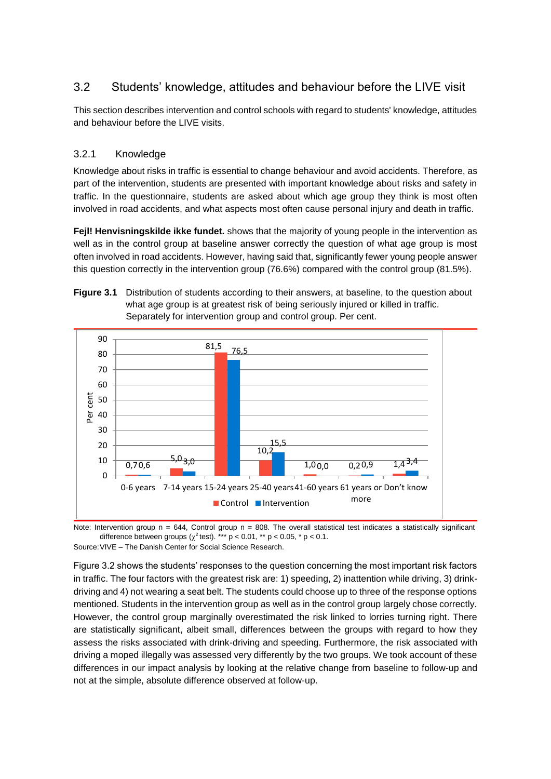## <span id="page-19-0"></span>3.2 Students' knowledge, attitudes and behaviour before the LIVE visit

This section describes intervention and control schools with regard to students' knowledge, attitudes and behaviour before the LIVE visits.

#### 3.2.1 Knowledge

Knowledge about risks in traffic is essential to change behaviour and avoid accidents. Therefore, as part of the intervention, students are presented with important knowledge about risks and safety in traffic. In the questionnaire, students are asked about which age group they think is most often involved in road accidents, and what aspects most often cause personal injury and death in traffic.

**Fejl! Henvisningskilde ikke fundet.** shows that the majority of young people in the intervention as well as in the control group at baseline answer correctly the question of what age group is most often involved in road accidents. However, having said that, significantly fewer young people answer this question correctly in the intervention group (76.6%) compared with the control group (81.5%).





Note: Intervention group  $n = 644$ , Control group  $n = 808$ . The overall statistical test indicates a statistically significant difference between groups ( $\chi^2$  test). \*\*\* p < 0.01, \*\* p < 0.05, \* p < 0.1. Source:VIVE – The Danish Center for Social Science Research.

Figure 3.2 shows the students' responses to the question concerning the most important risk factors in traffic. The four factors with the greatest risk are: 1) speeding, 2) inattention while driving, 3) drinkdriving and 4) not wearing a seat belt. The students could choose up to three of the response options mentioned. Students in the intervention group as well as in the control group largely chose correctly. However, the control group marginally overestimated the risk linked to lorries turning right. There are statistically significant, albeit small, differences between the groups with regard to how they assess the risks associated with drink-driving and speeding. Furthermore, the risk associated with driving a moped illegally was assessed very differently by the two groups. We took account of these differences in our impact analysis by looking at the relative change from baseline to follow-up and not at the simple, absolute difference observed at follow-up.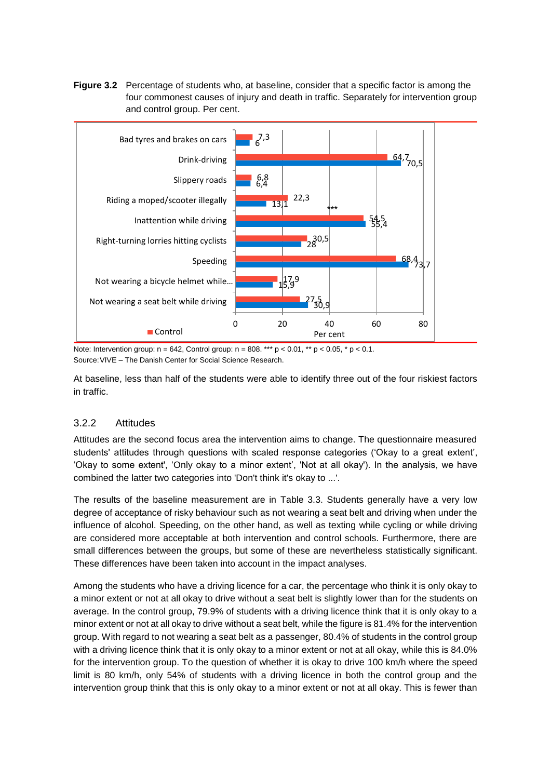**Figure 3.2** Percentage of students who, at baseline, consider that a specific factor is among the four commonest causes of injury and death in traffic. Separately for intervention group and control group. Per cent.



Note: Intervention group:  $n = 642$ , Control group:  $n = 808$ . \*\*\*  $p < 0.01$ , \*\*  $p < 0.05$ , \*  $p < 0.1$ . Source:VIVE – The Danish Center for Social Science Research.

At baseline, less than half of the students were able to identify three out of the four riskiest factors in traffic.

#### 3.2.2 Attitudes

Attitudes are the second focus area the intervention aims to change. The questionnaire measured students' attitudes through questions with scaled response categories ('Okay to a great extent', 'Okay to some extent', 'Only okay to a minor extent', 'Not at all okay'). In the analysis, we have combined the latter two categories into 'Don't think it's okay to ...'.

The results of the baseline measurement are in [Table 3.3.](#page-21-0) Students generally have a very low degree of acceptance of risky behaviour such as not wearing a seat belt and driving when under the influence of alcohol. Speeding, on the other hand, as well as texting while cycling or while driving are considered more acceptable at both intervention and control schools. Furthermore, there are small differences between the groups, but some of these are nevertheless statistically significant. These differences have been taken into account in the impact analyses.

Among the students who have a driving licence for a car, the percentage who think it is only okay to a minor extent or not at all okay to drive without a seat belt is slightly lower than for the students on average. In the control group, 79.9% of students with a driving licence think that it is only okay to a minor extent or not at all okay to drive without a seat belt, while the figure is 81.4% for the intervention group. With regard to not wearing a seat belt as a passenger, 80.4% of students in the control group with a driving licence think that it is only okay to a minor extent or not at all okay, while this is 84.0% for the intervention group. To the question of whether it is okay to drive 100 km/h where the speed limit is 80 km/h, only 54% of students with a driving licence in both the control group and the intervention group think that this is only okay to a minor extent or not at all okay. This is fewer than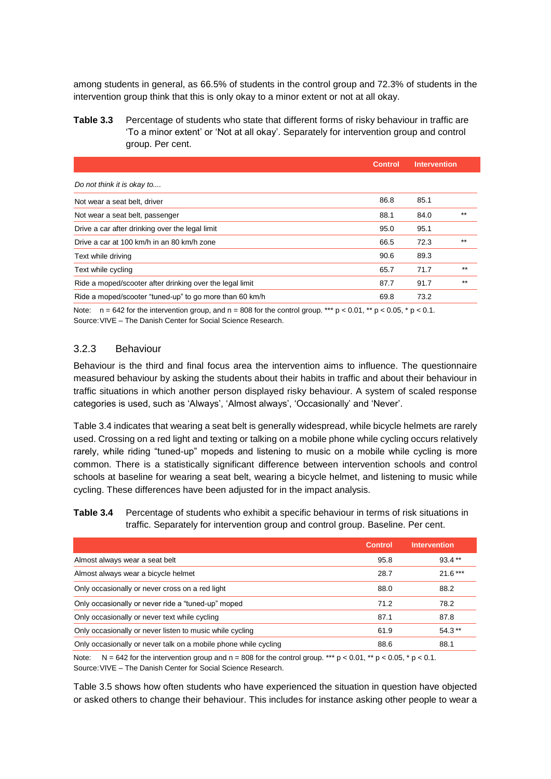among students in general, as 66.5% of students in the control group and 72.3% of students in the intervention group think that this is only okay to a minor extent or not at all okay.

<span id="page-21-0"></span>**Table 3.3** Percentage of students who state that different forms of risky behaviour in traffic are 'To a minor extent' or 'Not at all okay'. Separately for intervention group and control group. Per cent.

|                                                          | <b>Control</b> | <b>Intervention</b> |       |
|----------------------------------------------------------|----------------|---------------------|-------|
| Do not think it is okay to                               |                |                     |       |
| Not wear a seat belt, driver                             | 86.8           | 85.1                |       |
| Not wear a seat belt, passenger                          | 88.1           | 84.0                | $***$ |
| Drive a car after drinking over the legal limit          | 95.0           | 95.1                |       |
| Drive a car at 100 km/h in an 80 km/h zone               | 66.5           | 72.3                | $***$ |
| Text while driving                                       | 90.6           | 89.3                |       |
| Text while cycling                                       | 65.7           | 71.7                | $***$ |
| Ride a moped/scooter after drinking over the legal limit | 87.7           | 91.7                | $***$ |
| Ride a moped/scooter "tuned-up" to go more than 60 km/h  | 69.8           | 73.2                |       |
|                                                          |                |                     |       |

Note:  $n = 642$  for the intervention group, and  $n = 808$  for the control group. \*\*\*  $p < 0.01$ , \*\*  $p < 0.05$ , \*  $p < 0.1$ . Source:VIVE – The Danish Center for Social Science Research.

#### 3.2.3 Behaviour

Behaviour is the third and final focus area the intervention aims to influence. The questionnaire measured behaviour by asking the students about their habits in traffic and about their behaviour in traffic situations in which another person displayed risky behaviour. A system of scaled response categories is used, such as 'Always', 'Almost always', 'Occasionally' and 'Never'.

[Table 3.4](#page-21-1) indicates that wearing a seat belt is generally widespread, while bicycle helmets are rarely used. Crossing on a red light and texting or talking on a mobile phone while cycling occurs relatively rarely, while riding "tuned-up" mopeds and listening to music on a mobile while cycling is more common. There is a statistically significant difference between intervention schools and control schools at baseline for wearing a seat belt, wearing a bicycle helmet, and listening to music while cycling. These differences have been adjusted for in the impact analysis.

<span id="page-21-1"></span>**Table 3.4** Percentage of students who exhibit a specific behaviour in terms of risk situations in traffic. Separately for intervention group and control group. Baseline. Per cent.

|                                                                 | <b>Control</b> | <b>Intervention</b> |
|-----------------------------------------------------------------|----------------|---------------------|
| Almost always wear a seat belt                                  | 95.8           | $93.4**$            |
| Almost always wear a bicycle helmet                             | 28.7           | $21.6***$           |
| Only occasionally or never cross on a red light                 | 88.0           | 88.2                |
| Only occasionally or never ride a "tuned-up" moped              | 71.2           | 78.2                |
| Only occasionally or never text while cycling                   | 87.1           | 87.8                |
| Only occasionally or never listen to music while cycling        | 61.9           | $54.3**$            |
| Only occasionally or never talk on a mobile phone while cycling | 88.6           | 88.1                |

Note:  $N = 642$  for the intervention group and  $n = 808$  for the control group. \*\*\*  $p < 0.01$ , \*\*  $p < 0.05$ , \*  $p < 0.1$ . Source:VIVE – The Danish Center for Social Science Research.

[Table 3.5](#page-22-0) shows how often students who have experienced the situation in question have objected or asked others to change their behaviour. This includes for instance asking other people to wear a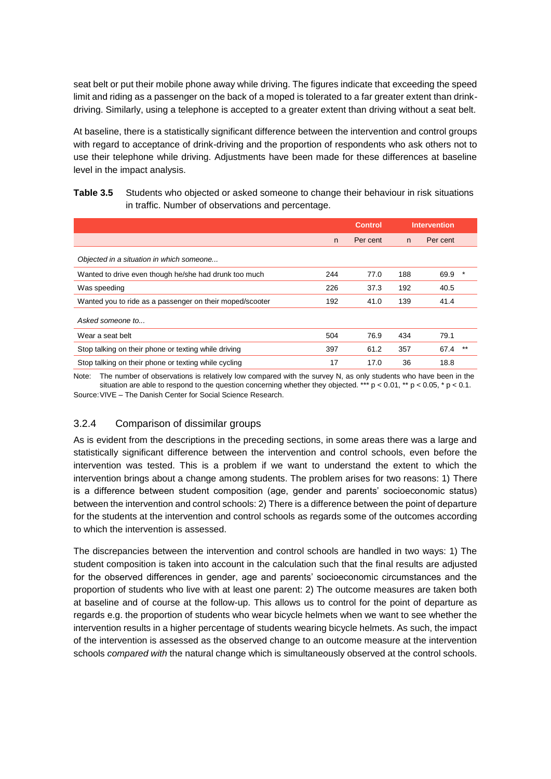seat belt or put their mobile phone away while driving. The figures indicate that exceeding the speed limit and riding as a passenger on the back of a moped is tolerated to a far greater extent than drinkdriving. Similarly, using a telephone is accepted to a greater extent than driving without a seat belt.

At baseline, there is a statistically significant difference between the intervention and control groups with regard to acceptance of drink-driving and the proportion of respondents who ask others not to use their telephone while driving. Adjustments have been made for these differences at baseline level in the impact analysis.

<span id="page-22-0"></span>

| Table 3.5 | Students who objected or asked someone to change their behaviour in risk situations |
|-----------|-------------------------------------------------------------------------------------|
|           | in traffic. Number of observations and percentage.                                  |

|                                                          |     | <b>Control</b> |     | <b>Intervention</b> |
|----------------------------------------------------------|-----|----------------|-----|---------------------|
|                                                          | n   | Per cent       | n   | Per cent            |
| Objected in a situation in which someone                 |     |                |     |                     |
| Wanted to drive even though he/she had drunk too much    | 244 | 77.0           | 188 | 69.9                |
| Was speeding                                             | 226 | 37.3           | 192 | 40.5                |
| Wanted you to ride as a passenger on their moped/scooter | 192 | 41.0           | 139 | 41.4                |
| Asked someone to                                         |     |                |     |                     |
| Wear a seat belt                                         | 504 | 76.9           | 434 | 79.1                |
| Stop talking on their phone or texting while driving     | 397 | 61.2           | 357 | $***$<br>67.4       |
| Stop talking on their phone or texting while cycling     | 17  | 17.0           | 36  | 18.8                |

Note: The number of observations is relatively low compared with the survey N, as only students who have been in the situation are able to respond to the question concerning whether they objected. \*\*\*  $p < 0.01$ , \*\*  $p < 0.05$ , \*  $p < 0.1$ . Source:VIVE – The Danish Center for Social Science Research.

#### 3.2.4 Comparison of dissimilar groups

As is evident from the descriptions in the preceding sections, in some areas there was a large and statistically significant difference between the intervention and control schools, even before the intervention was tested. This is a problem if we want to understand the extent to which the intervention brings about a change among students. The problem arises for two reasons: 1) There is a difference between student composition (age, gender and parents' socioeconomic status) between the intervention and control schools: 2) There is a difference between the point of departure for the students at the intervention and control schools as regards some of the outcomes according to which the intervention is assessed.

The discrepancies between the intervention and control schools are handled in two ways: 1) The student composition is taken into account in the calculation such that the final results are adjusted for the observed differences in gender, age and parents' socioeconomic circumstances and the proportion of students who live with at least one parent: 2) The outcome measures are taken both at baseline and of course at the follow-up. This allows us to control for the point of departure as regards e.g. the proportion of students who wear bicycle helmets when we want to see whether the intervention results in a higher percentage of students wearing bicycle helmets. As such, the impact of the intervention is assessed as the observed change to an outcome measure at the intervention schools *compared with* the natural change which is simultaneously observed at the control schools.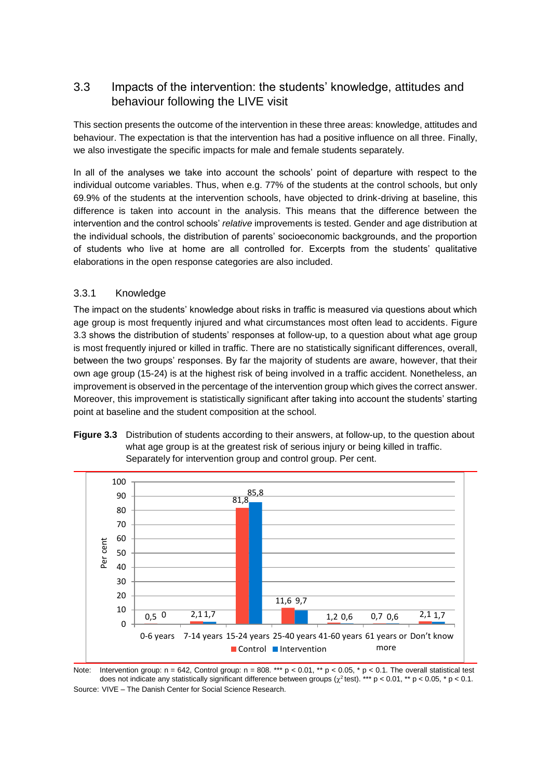### <span id="page-23-0"></span>3.3 Impacts of the intervention: the students' knowledge, attitudes and behaviour following the LIVE visit

This section presents the outcome of the intervention in these three areas: knowledge, attitudes and behaviour. The expectation is that the intervention has had a positive influence on all three. Finally, we also investigate the specific impacts for male and female students separately.

In all of the analyses we take into account the schools' point of departure with respect to the individual outcome variables. Thus, when e.g. 77% of the students at the control schools, but only 69.9% of the students at the intervention schools, have objected to drink-driving at baseline, this difference is taken into account in the analysis. This means that the difference between the intervention and the control schools' *relative* improvements is tested. Gender and age distribution at the individual schools, the distribution of parents' socioeconomic backgrounds, and the proportion of students who live at home are all controlled for. Excerpts from the students' qualitative elaborations in the open response categories are also included.

#### 3.3.1 Knowledge

The impact on the students' knowledge about risks in traffic is measured via questions about which age group is most frequently injured and what circumstances most often lead to accidents. Figure 3.3 shows the distribution of students' responses at follow-up, to a question about what age group is most frequently injured or killed in traffic. There are no statistically significant differences, overall, between the two groups' responses. By far the majority of students are aware, however, that their own age group (15-24) is at the highest risk of being involved in a traffic accident. Nonetheless, an improvement is observed in the percentage of the intervention group which gives the correct answer. Moreover, this improvement is statistically significant after taking into account the students' starting point at baseline and the student composition at the school.





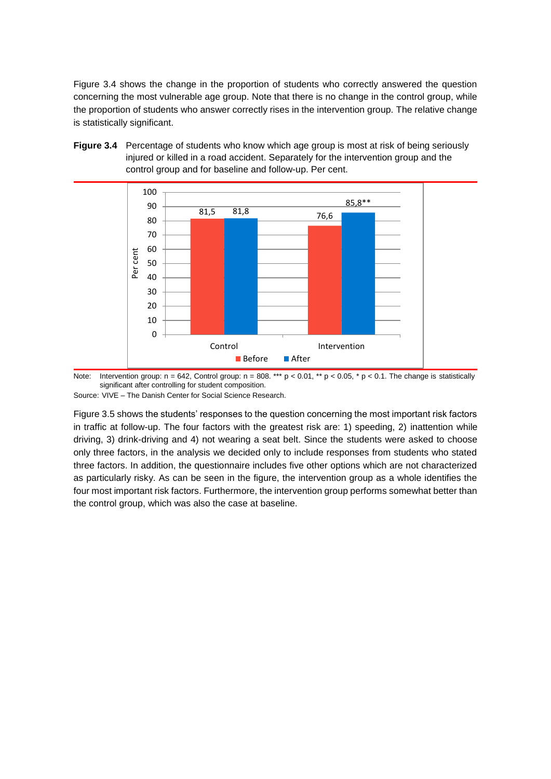Figure 3.4 shows the change in the proportion of students who correctly answered the question concerning the most vulnerable age group. Note that there is no change in the control group, while the proportion of students who answer correctly rises in the intervention group. The relative change is statistically significant.





Note: Intervention group:  $n = 642$ , Control group:  $n = 808$ . \*\*\*  $p < 0.01$ , \*\*  $p < 0.05$ , \*  $p < 0.1$ . The change is statistically significant after controlling for student composition.

Source: VIVE – The Danish Center for Social Science Research.

Figure 3.5 shows the students' responses to the question concerning the most important risk factors in traffic at follow-up. The four factors with the greatest risk are: 1) speeding, 2) inattention while driving, 3) drink-driving and 4) not wearing a seat belt. Since the students were asked to choose only three factors, in the analysis we decided only to include responses from students who stated three factors. In addition, the questionnaire includes five other options which are not characterized as particularly risky. As can be seen in the figure, the intervention group as a whole identifies the four most important risk factors. Furthermore, the intervention group performs somewhat better than the control group, which was also the case at baseline.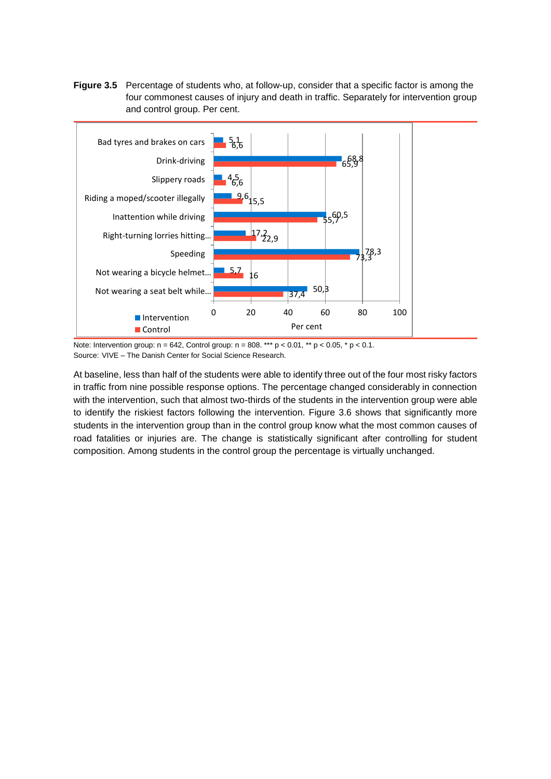**Figure 3.5** Percentage of students who, at follow-up, consider that a specific factor is among the four commonest causes of injury and death in traffic. Separately for intervention group and control group. Per cent.



Note: Intervention group:  $n = 642$ , Control group:  $n = 808$ . \*\*\*  $p < 0.01$ , \*\*  $p < 0.05$ , \*  $p < 0.1$ . Source: VIVE – The Danish Center for Social Science Research.

At baseline, less than half of the students were able to identify three out of the four most risky factors in traffic from nine possible response options. The percentage changed considerably in connection with the intervention, such that almost two-thirds of the students in the intervention group were able to identify the riskiest factors following the intervention. Figure 3.6 shows that significantly more students in the intervention group than in the control group know what the most common causes of road fatalities or injuries are. The change is statistically significant after controlling for student composition. Among students in the control group the percentage is virtually unchanged.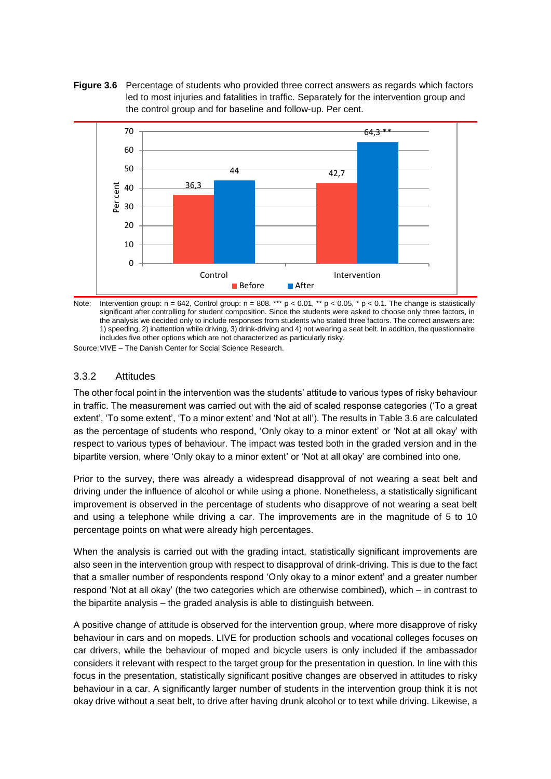**Figure 3.6** Percentage of students who provided three correct answers as regards which factors led to most injuries and fatalities in traffic. Separately for the intervention group and the control group and for baseline and follow-up. Per cent.





Source:VIVE – The Danish Center for Social Science Research.

#### 3.3.2 Attitudes

The other focal point in the intervention was the students' attitude to various types of risky behaviour in traffic. The measurement was carried out with the aid of scaled response categories ('To a great extent', 'To some extent', 'To a minor extent' and 'Not at all'). The results in [Table 3.6](#page-27-0) are calculated as the percentage of students who respond, 'Only okay to a minor extent' or 'Not at all okay' with respect to various types of behaviour. The impact was tested both in the graded version and in the bipartite version, where 'Only okay to a minor extent' or 'Not at all okay' are combined into one.

Prior to the survey, there was already a widespread disapproval of not wearing a seat belt and driving under the influence of alcohol or while using a phone. Nonetheless, a statistically significant improvement is observed in the percentage of students who disapprove of not wearing a seat belt and using a telephone while driving a car. The improvements are in the magnitude of 5 to 10 percentage points on what were already high percentages.

When the analysis is carried out with the grading intact, statistically significant improvements are also seen in the intervention group with respect to disapproval of drink-driving. This is due to the fact that a smaller number of respondents respond 'Only okay to a minor extent' and a greater number respond 'Not at all okay' (the two categories which are otherwise combined), which – in contrast to the bipartite analysis – the graded analysis is able to distinguish between.

A positive change of attitude is observed for the intervention group, where more disapprove of risky behaviour in cars and on mopeds. LIVE for production schools and vocational colleges focuses on car drivers, while the behaviour of moped and bicycle users is only included if the ambassador considers it relevant with respect to the target group for the presentation in question. In line with this focus in the presentation, statistically significant positive changes are observed in attitudes to risky behaviour in a car. A significantly larger number of students in the intervention group think it is not okay drive without a seat belt, to drive after having drunk alcohol or to text while driving. Likewise, a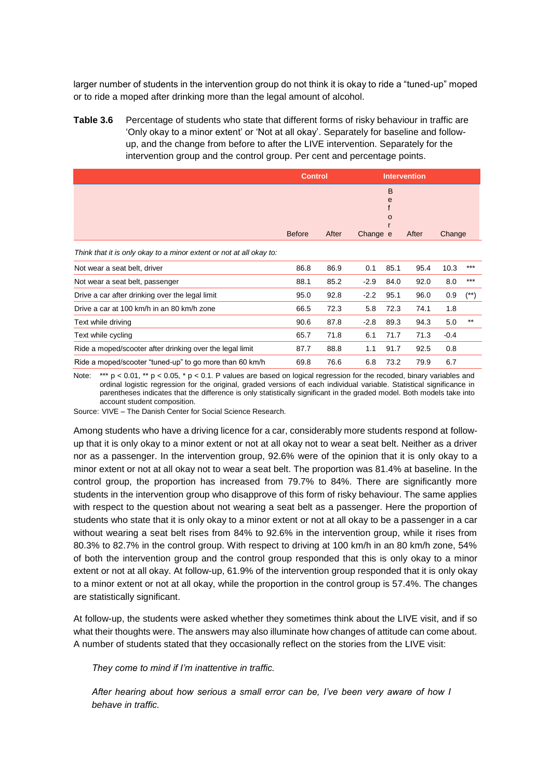larger number of students in the intervention group do not think it is okay to ride a "tuned-up" moped or to ride a moped after drinking more than the legal amount of alcohol.

<span id="page-27-0"></span>**Table 3.6** Percentage of students who state that different forms of risky behaviour in traffic are 'Only okay to a minor extent' or 'Not at all okay'. Separately for baseline and followup, and the change from before to after the LIVE intervention. Separately for the intervention group and the control group. Per cent and percentage points.

|                                                                     | <b>Control</b> |       |          | <b>Intervention</b> |       |        |       |
|---------------------------------------------------------------------|----------------|-------|----------|---------------------|-------|--------|-------|
|                                                                     |                |       |          | B<br>e<br>O         |       |        |       |
|                                                                     | <b>Before</b>  | After | Change e |                     | After | Change |       |
| Think that it is only okay to a minor extent or not at all okay to: |                |       |          |                     |       |        |       |
| Not wear a seat belt, driver                                        | 86.8           | 86.9  | 0.1      | 85.1                | 95.4  | 10.3   | $***$ |
| Not wear a seat belt, passenger                                     | 88.1           | 85.2  | $-2.9$   | 84.0                | 92.0  | 8.0    | ***   |
| Drive a car after drinking over the legal limit                     | 95.0           | 92.8  | $-2.2$   | 95.1                | 96.0  | 0.9    | (**)  |
| Drive a car at 100 km/h in an 80 km/h zone                          | 66.5           | 72.3  | 5.8      | 72.3                | 74.1  | 1.8    |       |
| Text while driving                                                  | 90.6           | 87.8  | $-2.8$   | 89.3                | 94.3  | 5.0    | $***$ |
| Text while cycling                                                  | 65.7           | 71.8  | 6.1      | 71.7                | 71.3  | $-0.4$ |       |
| Ride a moped/scooter after drinking over the legal limit            | 87.7           | 88.8  | 1.1      | 91.7                | 92.5  | 0.8    |       |
| Ride a moped/scooter "tuned-up" to go more than 60 km/h             | 69.8           | 76.6  | 6.8      | 73.2                | 79.9  | 6.7    |       |

Note:  $*** p < 0.01$ ,  $** p < 0.05$ ,  $* p < 0.1$ . P values are based on logical regression for the recoded, binary variables and ordinal logistic regression for the original, graded versions of each individual variable. Statistical significance in parentheses indicates that the difference is only statistically significant in the graded model. Both models take into account student composition.

Source: VIVE – The Danish Center for Social Science Research.

Among students who have a driving licence for a car, considerably more students respond at followup that it is only okay to a minor extent or not at all okay not to wear a seat belt. Neither as a driver nor as a passenger. In the intervention group, 92.6% were of the opinion that it is only okay to a minor extent or not at all okay not to wear a seat belt. The proportion was 81.4% at baseline. In the control group, the proportion has increased from 79.7% to 84%. There are significantly more students in the intervention group who disapprove of this form of risky behaviour. The same applies with respect to the question about not wearing a seat belt as a passenger. Here the proportion of students who state that it is only okay to a minor extent or not at all okay to be a passenger in a car without wearing a seat belt rises from 84% to 92.6% in the intervention group, while it rises from 80.3% to 82.7% in the control group. With respect to driving at 100 km/h in an 80 km/h zone, 54% of both the intervention group and the control group responded that this is only okay to a minor extent or not at all okay. At follow-up, 61.9% of the intervention group responded that it is only okay to a minor extent or not at all okay, while the proportion in the control group is 57.4%. The changes are statistically significant.

At follow-up, the students were asked whether they sometimes think about the LIVE visit, and if so what their thoughts were. The answers may also illuminate how changes of attitude can come about. A number of students stated that they occasionally reflect on the stories from the LIVE visit:

*They come to mind if I'm inattentive in traffic.*

*After hearing about how serious a small error can be, I've been very aware of how I behave in traffic.*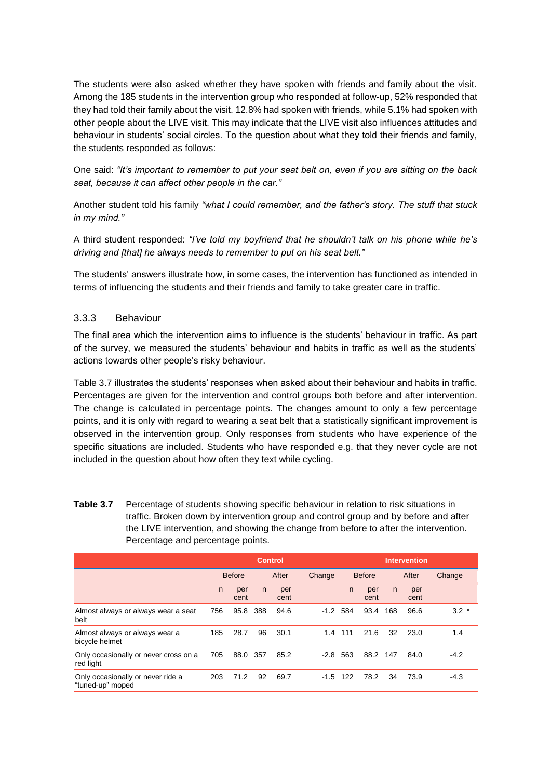The students were also asked whether they have spoken with friends and family about the visit. Among the 185 students in the intervention group who responded at follow-up, 52% responded that they had told their family about the visit. 12.8% had spoken with friends, while 5.1% had spoken with other people about the LIVE visit. This may indicate that the LIVE visit also influences attitudes and behaviour in students' social circles. To the question about what they told their friends and family, the students responded as follows:

One said: *"It's important to remember to put your seat belt on, even if you are sitting on the back seat, because it can affect other people in the car."*

Another student told his family *"what I could remember, and the father's story. The stuff that stuck in my mind."*

A third student responded: *"I've told my boyfriend that he shouldn't talk on his phone while he's driving and [that] he always needs to remember to put on his seat belt."*

The students' answers illustrate how, in some cases, the intervention has functioned as intended in terms of influencing the students and their friends and family to take greater care in traffic.

#### 3.3.3 Behaviour

The final area which the intervention aims to influence is the students' behaviour in traffic. As part of the survey, we measured the students' behaviour and habits in traffic as well as the students' actions towards other people's risky behaviour.

[Table 3.7](#page-28-0) illustrates the students' responses when asked about their behaviour and habits in traffic. Percentages are given for the intervention and control groups both before and after intervention. The change is calculated in percentage points. The changes amount to only a few percentage points, and it is only with regard to wearing a seat belt that a statistically significant improvement is observed in the intervention group. Only responses from students who have experience of the specific situations are included. Students who have responded e.g. that they never cycle are not included in the question about how often they text while cycling.

<span id="page-28-0"></span>**Table 3.7** Percentage of students showing specific behaviour in relation to risk situations in traffic. Broken down by intervention group and control group and by before and after the LIVE intervention, and showing the change from before to after the intervention. Percentage and percentage points.

|                                                       |     |                        |     | <b>Control</b> |               | <b>Intervention</b> |             |       |             |        |  |
|-------------------------------------------------------|-----|------------------------|-----|----------------|---------------|---------------------|-------------|-------|-------------|--------|--|
|                                                       |     | <b>Before</b><br>After |     | Change         | <b>Before</b> |                     |             | After | Change      |        |  |
|                                                       | n   | per<br>cent            | n   | per<br>cent    |               | n                   | per<br>cent | n     | per<br>cent |        |  |
| Almost always or always wear a seat<br>belt           | 756 | 95.8                   | 388 | 94.6           | $-1.2$        | 584                 | 93.4        | 168   | 96.6        | $3.2*$ |  |
| Almost always or always wear a<br>bicycle helmet      | 185 | 28.7                   | 96  | 30.1           | 1.4           | 111                 | 21.6        | 32    | 23.0        | 1.4    |  |
| Only occasionally or never cross on a<br>red light    | 705 | 88.0                   | 357 | 85.2           | $-2.8$        | 563                 | 88.2 147    |       | 84.0        | $-4.2$ |  |
| Only occasionally or never ride a<br>"tuned-up" moped | 203 | 71.2                   | 92  | 69.7           | $-1.5$        | 122                 | 78.2        | 34    | 73.9        | $-4.3$ |  |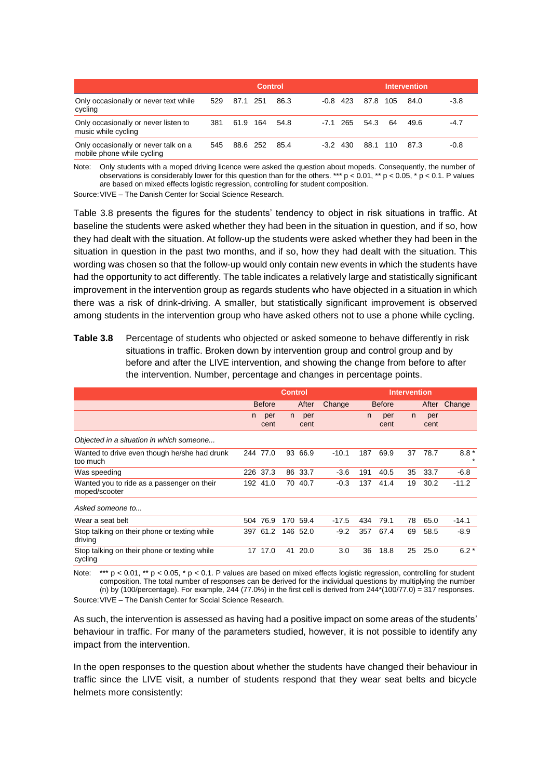|                                                                    |     |          | <b>Control</b> |      |            |          |    | <b>Intervention</b> |        |
|--------------------------------------------------------------------|-----|----------|----------------|------|------------|----------|----|---------------------|--------|
| Only occasionally or never text while<br>cycling                   | 529 | 87.1 251 |                | 86.3 | $-0.8$ 423 | 87.8 105 |    | 84.0                | $-3.8$ |
| Only occasionally or never listen to<br>music while cycling        | 381 | 61.9 164 |                | 54.8 | $-7.1$ 265 | 54.3     | 64 | 49.6                | $-4.7$ |
| Only occasionally or never talk on a<br>mobile phone while cycling | 545 | 88.6 252 |                | 85.4 | $-3.2$ 430 | 88.1 110 |    | 87.3                | $-0.8$ |

Note: Only students with a moped driving licence were asked the question about mopeds. Consequently, the number of observations is considerably lower for this question than for the others. \*\*\*  $p < 0.01$ , \*\*  $p < 0.05$ ,  $p < 0.1$ . P values are based on mixed effects logistic regression, controlling for student composition.

Source:VIVE – The Danish Center for Social Science Research.

[Table 3.8](#page-29-0) presents the figures for the students' tendency to object in risk situations in traffic. At baseline the students were asked whether they had been in the situation in question, and if so, how they had dealt with the situation. At follow-up the students were asked whether they had been in the situation in question in the past two months, and if so, how they had dealt with the situation. This wording was chosen so that the follow-up would only contain new events in which the students have had the opportunity to act differently. The table indicates a relatively large and statistically significant improvement in the intervention group as regards students who have objected in a situation in which there was a risk of drink-driving. A smaller, but statistically significant improvement is observed among students in the intervention group who have asked others not to use a phone while cycling.

<span id="page-29-0"></span>**Table 3.8** Percentage of students who objected or asked someone to behave differently in risk situations in traffic. Broken down by intervention group and control group and by before and after the LIVE intervention, and showing the change from before to after the intervention. Number, percentage and changes in percentage points.

|                                                             |     |               |                |             |         |     | <b>Intervention</b> |    |             |         |  |  |  |  |
|-------------------------------------------------------------|-----|---------------|----------------|-------------|---------|-----|---------------------|----|-------------|---------|--|--|--|--|
|                                                             |     |               | <b>Control</b> |             |         |     |                     |    |             |         |  |  |  |  |
|                                                             |     | <b>Before</b> |                | After       | Change  |     | <b>Before</b>       |    | After       | Change  |  |  |  |  |
|                                                             | n.  | per<br>cent   | n.             | per<br>cent |         | n.  | per<br>cent         | n. | per<br>cent |         |  |  |  |  |
| Objected in a situation in which someone                    |     |               |                |             |         |     |                     |    |             |         |  |  |  |  |
| Wanted to drive even though he/she had drunk<br>too much    | 244 | 77.0          | 93             | 66.9        | $-10.1$ | 187 | 69.9                | 37 | 78.7        | $8.8*$  |  |  |  |  |
| Was speeding                                                | 226 | 37.3          | 86             | 33.7        | $-3.6$  | 191 | 40.5                | 35 | 33.7        | $-6.8$  |  |  |  |  |
| Wanted you to ride as a passenger on their<br>moped/scooter |     | 192 41.0      | 70.            | 40.7        | $-0.3$  | 137 | 41.4                | 19 | 30.2        | $-11.2$ |  |  |  |  |
| Asked someone to                                            |     |               |                |             |         |     |                     |    |             |         |  |  |  |  |
| Wear a seat belt                                            | 504 | 76.9          | 170            | 59.4        | $-17.5$ | 434 | 79.1                | 78 | 65.0        | $-14.1$ |  |  |  |  |
| Stop talking on their phone or texting while<br>driving     | 397 | 61.2          |                | 146 52.0    | $-9.2$  | 357 | 67.4                | 69 | 58.5        | $-8.9$  |  |  |  |  |
| Stop talking on their phone or texting while<br>cycling     | 17  | 17.0          | 41             | 20.0        | 3.0     | 36  | 18.8                | 25 | 25.0        | $6.2*$  |  |  |  |  |

Note: \*\*\*  $p < 0.01$ , \*\*  $p < 0.05$ , \*  $p < 0.1$ . P values are based on mixed effects logistic regression, controlling for student composition. The total number of responses can be derived for the individual questions by multiplying the number (n) by (100/percentage). For example, 244 (77.0%) in the first cell is derived from  $244*(100/77.0) = 317$  responses.

Source:VIVE – The Danish Center for Social Science Research.

As such, the intervention is assessed as having had a positive impact on some areas of the students' behaviour in traffic. For many of the parameters studied, however, it is not possible to identify any impact from the intervention.

In the open responses to the question about whether the students have changed their behaviour in traffic since the LIVE visit, a number of students respond that they wear seat belts and bicycle helmets more consistently: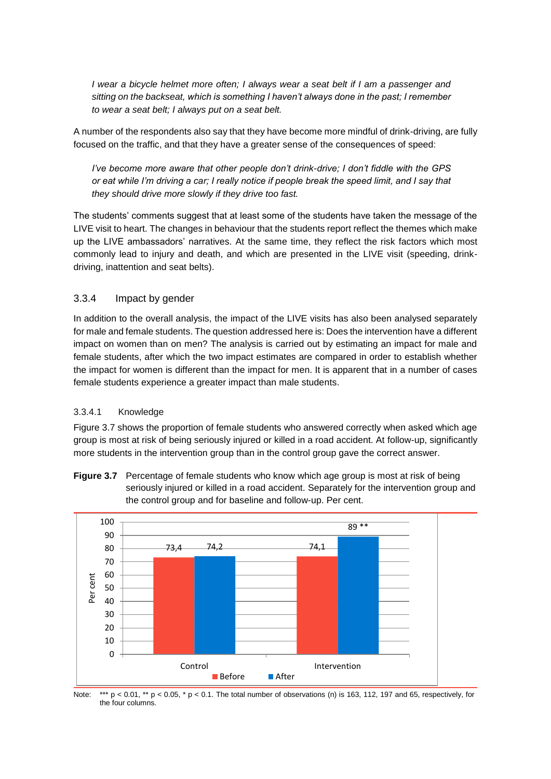*I* wear a bicycle helmet more often; *I always wear a seat belt if I am a passenger and sitting on the backseat, which is something I haven't always done in the past; I remember to wear a seat belt; I always put on a seat belt.*

A number of the respondents also say that they have become more mindful of drink-driving, are fully focused on the traffic, and that they have a greater sense of the consequences of speed:

*I've become more aware that other people don't drink-drive; I don't fiddle with the GPS or eat while I'm driving a car; I really notice if people break the speed limit, and I say that they should drive more slowly if they drive too fast.*

The students' comments suggest that at least some of the students have taken the message of the LIVE visit to heart. The changes in behaviour that the students report reflect the themes which make up the LIVE ambassadors' narratives. At the same time, they reflect the risk factors which most commonly lead to injury and death, and which are presented in the LIVE visit (speeding, drinkdriving, inattention and seat belts).

#### 3.3.4 Impact by gender

In addition to the overall analysis, the impact of the LIVE visits has also been analysed separately for male and female students. The question addressed here is: Does the intervention have a different impact on women than on men? The analysis is carried out by estimating an impact for male and female students, after which the two impact estimates are compared in order to establish whether the impact for women is different than the impact for men. It is apparent that in a number of cases female students experience a greater impact than male students.

#### 3.3.4.1 Knowledge

Figure 3.7 shows the proportion of female students who answered correctly when asked which age group is most at risk of being seriously injured or killed in a road accident. At follow-up, significantly more students in the intervention group than in the control group gave the correct answer.

**Figure 3.7** Percentage of female students who know which age group is most at risk of being seriously injured or killed in a road accident. Separately for the intervention group and the control group and for baseline and follow-up. Per cent.



Note: \*\*\*  $p < 0.01$ , \*\*  $p < 0.05$ , \*  $p < 0.1$ . The total number of observations (n) is 163, 112, 197 and 65, respectively, for the four columns.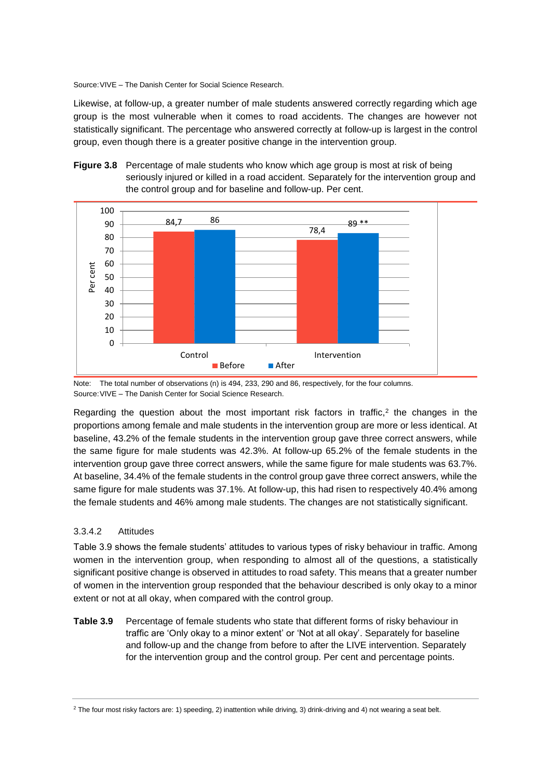Source:VIVE – The Danish Center for Social Science Research.

Likewise, at follow-up, a greater number of male students answered correctly regarding which age group is the most vulnerable when it comes to road accidents. The changes are however not statistically significant. The percentage who answered correctly at follow-up is largest in the control group, even though there is a greater positive change in the intervention group.





Note: The total number of observations (n) is 494, 233, 290 and 86, respectively, for the four columns. Source:VIVE – The Danish Center for Social Science Research.

Regarding the question about the most important risk factors in traffic,<sup>2</sup> the changes in the proportions among female and male students in the intervention group are more or less identical. At baseline, 43.2% of the female students in the intervention group gave three correct answers, while the same figure for male students was 42.3%. At follow-up 65.2% of the female students in the intervention group gave three correct answers, while the same figure for male students was 63.7%. At baseline, 34.4% of the female students in the control group gave three correct answers, while the same figure for male students was 37.1%. At follow-up, this had risen to respectively 40.4% among the female students and 46% among male students. The changes are not statistically significant.

#### 3.3.4.2 Attitudes

Table 3.9 shows the female students' attitudes to various types of risky behaviour in traffic. Among women in the intervention group, when responding to almost all of the questions, a statistically significant positive change is observed in attitudes to road safety. This means that a greater number of women in the intervention group responded that the behaviour described is only okay to a minor extent or not at all okay, when compared with the control group.

**Table 3.9** Percentage of female students who state that different forms of risky behaviour in traffic are 'Only okay to a minor extent' or 'Not at all okay'. Separately for baseline and follow-up and the change from before to after the LIVE intervention. Separately for the intervention group and the control group. Per cent and percentage points.

 $2$  The four most risky factors are: 1) speeding, 2) inattention while driving, 3) drink-driving and 4) not wearing a seat belt.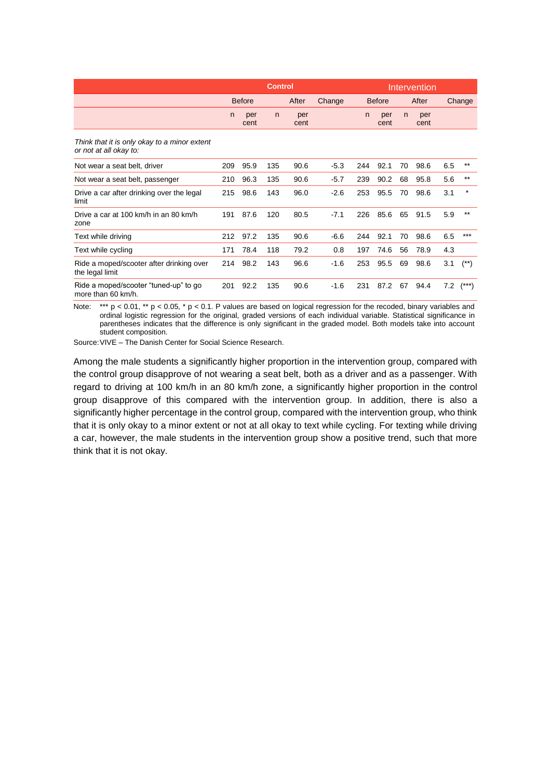|                                                                        |     |               | <b>Control</b> |             |        |     | Intervention<br><b>Before</b><br>After<br>per<br>per<br>n<br>n<br>cent<br>cent<br>92.1<br>98.6<br>70<br>90.2<br>68<br>95.8<br>98.6<br>95.5<br>70<br>85.6<br>65<br>91.5<br>92.1<br>98.6<br>70<br>78.9<br>74.6<br>56<br>95.5<br>69<br>98.6 |    |      |     |          |
|------------------------------------------------------------------------|-----|---------------|----------------|-------------|--------|-----|------------------------------------------------------------------------------------------------------------------------------------------------------------------------------------------------------------------------------------------|----|------|-----|----------|
|                                                                        |     | <b>Before</b> |                | After       | Change |     |                                                                                                                                                                                                                                          |    |      |     | Change   |
|                                                                        | n   | per<br>cent   | n              | per<br>cent |        |     |                                                                                                                                                                                                                                          |    |      |     |          |
| Think that it is only okay to a minor extent<br>or not at all okay to: |     |               |                |             |        |     |                                                                                                                                                                                                                                          |    |      |     |          |
| Not wear a seat belt, driver                                           | 209 | 95.9          | 135            | 90.6        | $-5.3$ | 244 |                                                                                                                                                                                                                                          |    |      | 6.5 | $***$    |
| Not wear a seat belt, passenger                                        | 210 | 96.3          | 135            | 90.6        | $-5.7$ | 239 |                                                                                                                                                                                                                                          |    |      | 5.6 | $***$    |
| Drive a car after drinking over the legal<br>limit                     | 215 | 98.6          | 143            | 96.0        | $-2.6$ | 253 |                                                                                                                                                                                                                                          |    |      | 3.1 | $\star$  |
| Drive a car at 100 km/h in an 80 km/h<br>zone                          | 191 | 87.6          | 120            | 80.5        | $-7.1$ | 226 |                                                                                                                                                                                                                                          |    |      | 5.9 | $***$    |
| Text while driving                                                     | 212 | 97.2          | 135            | 90.6        | $-6.6$ | 244 |                                                                                                                                                                                                                                          |    |      | 6.5 | ***      |
| Text while cycling                                                     | 171 | 78.4          | 118            | 79.2        | 0.8    | 197 |                                                                                                                                                                                                                                          |    |      | 4.3 |          |
| Ride a moped/scooter after drinking over<br>the legal limit            | 214 | 98.2          | 143            | 96.6        | $-1.6$ | 253 |                                                                                                                                                                                                                                          |    |      | 3.1 | $^{(*)}$ |
| Ride a moped/scooter "tuned-up" to go<br>more than 60 km/h.            | 201 | 92.2          | 135            | 90.6        | $-1.6$ | 231 | 87.2                                                                                                                                                                                                                                     | 67 | 94.4 | 7.2 |          |

Note: \*\*\*  $p < 0.01$ , \*\*  $p < 0.05$ , \*  $p < 0.1$ . P values are based on logical regression for the recoded, binary variables and ordinal logistic regression for the original, graded versions of each individual variable. Statistical significance in parentheses indicates that the difference is only significant in the graded model. Both models take into account student composition.

Source:VIVE – The Danish Center for Social Science Research.

Among the male students a significantly higher proportion in the intervention group, compared with the control group disapprove of not wearing a seat belt, both as a driver and as a passenger. With regard to driving at 100 km/h in an 80 km/h zone, a significantly higher proportion in the control group disapprove of this compared with the intervention group. In addition, there is also a significantly higher percentage in the control group, compared with the intervention group, who think that it is only okay to a minor extent or not at all okay to text while cycling. For texting while driving a car, however, the male students in the intervention group show a positive trend, such that more think that it is not okay.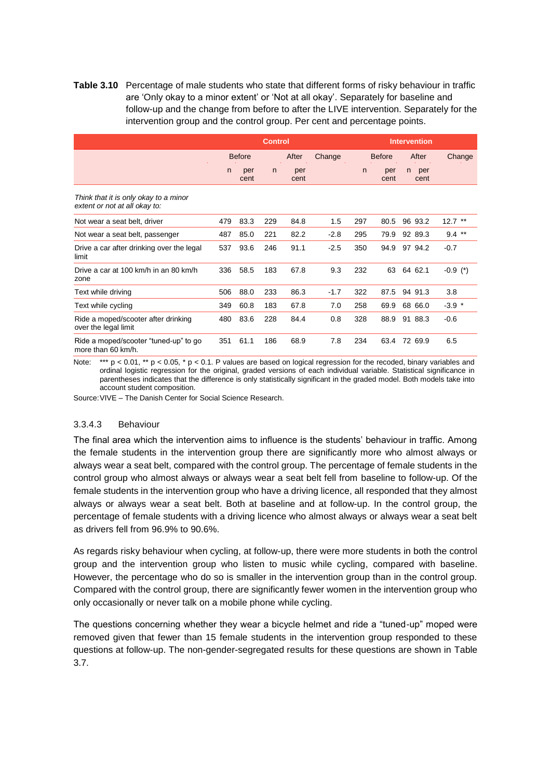**Table 3.10** Percentage of male students who state that different forms of risky behaviour in traffic are 'Only okay to a minor extent' or 'Not at all okay'. Separately for baseline and follow-up and the change from before to after the LIVE intervention. Separately for the intervention group and the control group. Per cent and percentage points.

|                                                                        |               |             | <b>Control</b> |             |               |     |             |                   |           |
|------------------------------------------------------------------------|---------------|-------------|----------------|-------------|---------------|-----|-------------|-------------------|-----------|
|                                                                        | <b>Before</b> |             | After          | Change      | <b>Before</b> |     | After       | Change            |           |
|                                                                        | n             | per<br>cent | n              | per<br>cent |               | n   | per<br>cent | per<br>n.<br>cent |           |
| Think that it is only okay to a minor<br>extent or not at all okay to: |               |             |                |             |               |     |             |                   |           |
| Not wear a seat belt, driver                                           | 479           | 83.3        | 229            | 84.8        | 1.5           | 297 | 80.5        | 96 93.2           | $12.7$ ** |
| Not wear a seat belt, passenger                                        | 487           | 85.0        | 221            | 82.2        | $-2.8$        | 295 | 79.9        | 92 89.3           | $9.4$ **  |
| Drive a car after drinking over the legal<br>limit                     | 537           | 93.6        | 246            | 91.1        | $-2.5$        | 350 | 94.9        | 97 94.2           | $-0.7$    |
| Drive a car at 100 km/h in an 80 km/h<br>zone                          | 336           | 58.5        | 183            | 67.8        | 9.3           | 232 | 63          | 64 62.1           | $-0.9(*)$ |
| Text while driving                                                     | 506           | 88.0        | 233            | 86.3        | $-1.7$        | 322 | 87.5        | 94 91.3           | 3.8       |
| Text while cycling                                                     | 349           | 60.8        | 183            | 67.8        | 7.0           | 258 | 69.9        | 68 66.0           | $-3.9$ *  |
| Ride a moped/scooter after drinking<br>over the legal limit            | 480           | 83.6        | 228            | 84.4        | 0.8           | 328 | 88.9        | 91 88.3           | $-0.6$    |
| Ride a moped/scooter "tuned-up" to go<br>more than 60 km/h.            | 351           | 61.1        | 186            | 68.9        | 7.8           | 234 | 63.4        | 72 69.9           | 6.5       |

Note: \*\*\*  $p < 0.01$ , \*\*  $p < 0.05$ , \*  $p < 0.1$ . P values are based on logical regression for the recoded, binary variables and ordinal logistic regression for the original, graded versions of each individual variable. Statistical significance in parentheses indicates that the difference is only statistically significant in the graded model. Both models take into account student composition.

Source:VIVE – The Danish Center for Social Science Research.

#### 3.3.4.3 Behaviour

The final area which the intervention aims to influence is the students' behaviour in traffic. Among the female students in the intervention group there are significantly more who almost always or always wear a seat belt, compared with the control group. The percentage of female students in the control group who almost always or always wear a seat belt fell from baseline to follow-up. Of the female students in the intervention group who have a driving licence, all responded that they almost always or always wear a seat belt. Both at baseline and at follow-up. In the control group, the percentage of female students with a driving licence who almost always or always wear a seat belt as drivers fell from 96.9% to 90.6%.

As regards risky behaviour when cycling, at follow-up, there were more students in both the control group and the intervention group who listen to music while cycling, compared with baseline. However, the percentage who do so is smaller in the intervention group than in the control group. Compared with the control group, there are significantly fewer women in the intervention group who only occasionally or never talk on a mobile phone while cycling.

The questions concerning whether they wear a bicycle helmet and ride a "tuned-up" moped were removed given that fewer than 15 female students in the intervention group responded to these questions at follow-up. The non-gender-segregated results for these questions are shown in Table 3.7.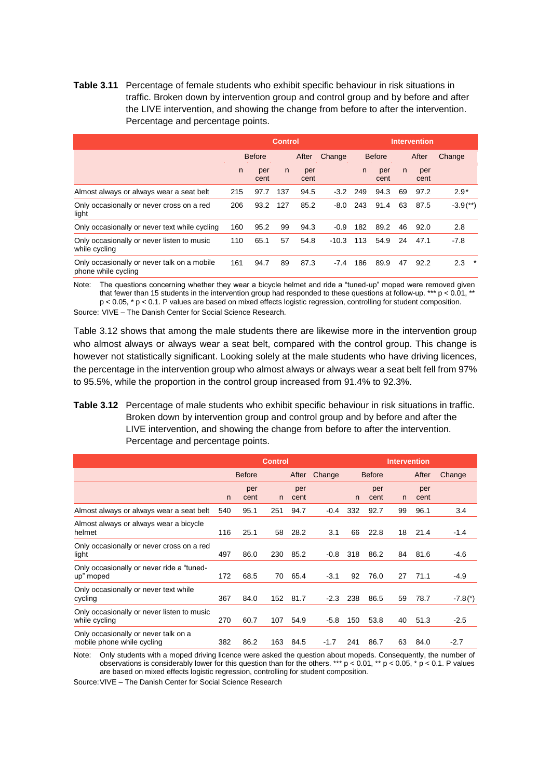**Table 3.11** Percentage of female students who exhibit specific behaviour in risk situations in traffic. Broken down by intervention group and control group and by before and after the LIVE intervention, and showing the change from before to after the intervention. Percentage and percentage points.

|                                                                    |               |             | <b>Control</b> |             |               | <b>Intervention</b> |             |    |             |                          |  |  |
|--------------------------------------------------------------------|---------------|-------------|----------------|-------------|---------------|---------------------|-------------|----|-------------|--------------------------|--|--|
|                                                                    | <b>Before</b> |             | After          | Change      | <b>Before</b> |                     | After       |    | Change      |                          |  |  |
|                                                                    | n.            | per<br>cent | n              | per<br>cent |               | n.                  | per<br>cent | n  | per<br>cent |                          |  |  |
| Almost always or always wear a seat belt                           | 215           | 97.7        | 137            | 94.5        | $-3.2$        | 249                 | 94.3        | 69 | 97.2        | $2.9*$                   |  |  |
| Only occasionally or never cross on a red<br>light                 | 206           | 93.2        | 127            | 85.2        | $-8.0$        | 243                 | 91.4        | 63 | 87.5        | $-3.9$ <sup>(**)</sup> ) |  |  |
| Only occasionally or never text while cycling                      | 160           | 95.2        | 99             | 94.3        | $-0.9$        | 182                 | 89.2        | 46 | 92.0        | 2.8                      |  |  |
| Only occasionally or never listen to music<br>while cycling        | 110           | 65.1        | 57             | 54.8        | $-10.3$       | 113                 | 54.9        | 24 | 47.1        | $-7.8$                   |  |  |
| Only occasionally or never talk on a mobile<br>phone while cycling | 161           | 94.7        | 89             | 87.3        | $-7.4$        | 186                 | 89.9        | 47 | 92.2        | 2.3<br>*                 |  |  |

Note: The questions concerning whether they wear a bicycle helmet and ride a "tuned-up" moped were removed given that fewer than 15 students in the intervention group had responded to these questions at follow-up. \*\*\*  $p < 0.01$ , \*\* p < 0.05, \* p < 0.1. P values are based on mixed effects logistic regression, controlling for student composition.

Source: VIVE – The Danish Center for Social Science Research.

Table 3.12 shows that among the male students there are likewise more in the intervention group who almost always or always wear a seat belt, compared with the control group. This change is however not statistically significant. Looking solely at the male students who have driving licences, the percentage in the intervention group who almost always or always wear a seat belt fell from 97% to 95.5%, while the proportion in the control group increased from 91.4% to 92.3%.

#### **Table 3.12** Percentage of male students who exhibit specific behaviour in risk situations in traffic. Broken down by intervention group and control group and by before and after the LIVE intervention, and showing the change from before to after the intervention. Percentage and percentage points.

|                                                                    |               |             | <b>Control</b> |             |        |               | <b>Intervention</b> |              |             |           |
|--------------------------------------------------------------------|---------------|-------------|----------------|-------------|--------|---------------|---------------------|--------------|-------------|-----------|
|                                                                    | <b>Before</b> |             | After          | Change      |        | <b>Before</b> |                     | After        | Change      |           |
|                                                                    | n             | per<br>cent | n              | per<br>cent |        | n             | per<br>cent         | $\mathsf{n}$ | per<br>cent |           |
| Almost always or always wear a seat belt                           | 540           | 95.1        | 251            | 94.7        | $-0.4$ | 332           | 92.7                | 99           | 96.1        | 3.4       |
| Almost always or always wear a bicycle<br>helmet                   | 116           | 25.1        | 58             | 28.2        | 3.1    | 66            | 22.8                | 18           | 21.4        | $-1.4$    |
| Only occasionally or never cross on a red<br>light                 | 497           | 86.0        | 230            | 85.2        | $-0.8$ | 318           | 86.2                | 84           | 81.6        | $-4.6$    |
| Only occasionally or never ride a "tuned-<br>up" moped             | 172           | 68.5        | 70             | 65.4        | $-3.1$ | 92            | 76.0                | 27           | 71.1        | $-4.9$    |
| Only occasionally or never text while<br>cycling                   | 367           | 84.0        | 152            | 81.7        | $-2.3$ | 238           | 86.5                | 59           | 78.7        | $-7.8(*)$ |
| Only occasionally or never listen to music<br>while cycling        | 270           | 60.7        | 107            | 54.9        | $-5.8$ | 150           | 53.8                | 40           | 51.3        | $-2.5$    |
| Only occasionally or never talk on a<br>mobile phone while cycling | 382           | 86.2        | 163            | 84.5        | $-1.7$ | 241           | 86.7                | 63           | 84.0        | $-2.7$    |

Note: Only students with a moped driving licence were asked the question about mopeds. Consequently, the number of observations is considerably lower for this question than for the others. \*\*\* p < 0.01, \*\* p < 0.05, \* p < 0.1. P values are based on mixed effects logistic regression, controlling for student composition.

Source:VIVE – The Danish Center for Social Science Research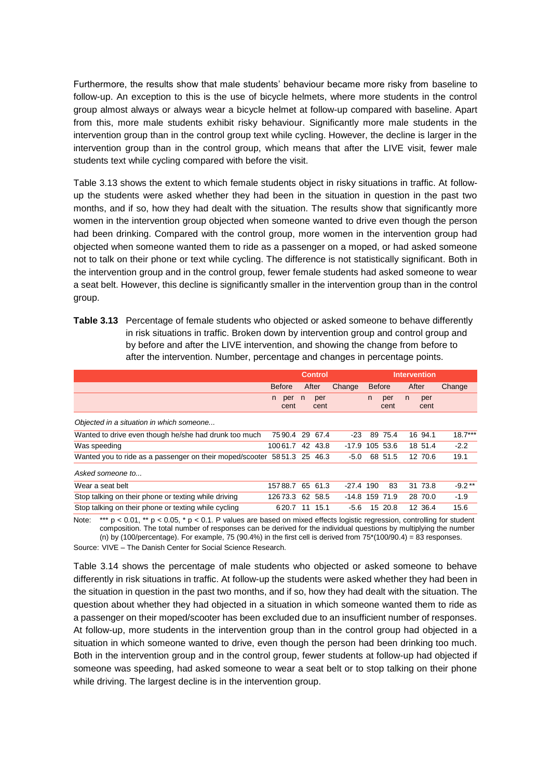Furthermore, the results show that male students' behaviour became more risky from baseline to follow-up. An exception to this is the use of bicycle helmets, where more students in the control group almost always or always wear a bicycle helmet at follow-up compared with baseline. Apart from this, more male students exhibit risky behaviour. Significantly more male students in the intervention group than in the control group text while cycling. However, the decline is larger in the intervention group than in the control group, which means that after the LIVE visit, fewer male students text while cycling compared with before the visit.

Table 3.13 shows the extent to which female students object in risky situations in traffic. At followup the students were asked whether they had been in the situation in question in the past two months, and if so, how they had dealt with the situation. The results show that significantly more women in the intervention group objected when someone wanted to drive even though the person had been drinking. Compared with the control group, more women in the intervention group had objected when someone wanted them to ride as a passenger on a moped, or had asked someone not to talk on their phone or text while cycling. The difference is not statistically significant. Both in the intervention group and in the control group, fewer female students had asked someone to wear a seat belt. However, this decline is significantly smaller in the intervention group than in the control group.

**Table 3.13** Percentage of female students who objected or asked someone to behave differently in risk situations in traffic. Broken down by intervention group and control group and by before and after the LIVE intervention, and showing the change from before to after the intervention. Number, percentage and changes in percentage points.

|                                                                         |                   | <b>Control</b> |       | <b>Intervention</b> |         |               |             |       |             |           |
|-------------------------------------------------------------------------|-------------------|----------------|-------|---------------------|---------|---------------|-------------|-------|-------------|-----------|
|                                                                         | <b>Before</b>     |                | After |                     | Change  | <b>Before</b> |             | After |             | Change    |
|                                                                         | per<br>n.<br>cent | n              |       | per<br>cent         |         | n.            | per<br>cent | n.    | per<br>cent |           |
| Objected in a situation in which someone                                |                   |                |       |                     |         |               |             |       |             |           |
| Wanted to drive even though he/she had drunk too much                   | 7590.4            |                | 29    | 67.4                | $-23$   |               | 89 75.4     |       | 16 94.1     | $18.7***$ |
| Was speeding                                                            | 10061.7           |                | 42    | 43.8                | $-17.9$ |               | 105 53.6    |       | 18 51.4     | $-2.2$    |
| Wanted you to ride as a passenger on their moped/scooter 5851.3 25 46.3 |                   |                |       |                     | $-5.0$  |               | 68 51.5     |       | 12 70.6     | 19.1      |
| Asked someone to                                                        |                   |                |       |                     |         |               |             |       |             |           |
| Wear a seat belt                                                        | 15788.7           |                |       | 65 61.3             | $-27.4$ | 190           | 83          |       | 31 73.8     | $-9.2**$  |
| Stop talking on their phone or texting while driving                    | 12673.3           |                |       | 62 58.5             | -14.8   |               | 159 71.9    |       | 28 70.0     | $-1.9$    |
| Stop talking on their phone or texting while cycling                    | 620.7             |                | 11    | 15.1                | $-5.6$  |               | 15 20.8     |       | 12 36.4     | 15.6      |

Note: \*\*\*  $p < 0.01$ , \*\*  $p < 0.05$ , \*  $p < 0.1$ . P values are based on mixed effects logistic regression, controlling for student composition. The total number of responses can be derived for the individual questions by multiplying the number (n) by (100/percentage). For example, 75 (90.4%) in the first cell is derived from  $75*(100/90.4) = 83$  responses.

Source: VIVE – The Danish Center for Social Science Research.

Table 3.14 shows the percentage of male students who objected or asked someone to behave differently in risk situations in traffic. At follow-up the students were asked whether they had been in the situation in question in the past two months, and if so, how they had dealt with the situation. The question about whether they had objected in a situation in which someone wanted them to ride as a passenger on their moped/scooter has been excluded due to an insufficient number of responses. At follow-up, more students in the intervention group than in the control group had objected in a situation in which someone wanted to drive, even though the person had been drinking too much. Both in the intervention group and in the control group, fewer students at follow-up had objected if someone was speeding, had asked someone to wear a seat belt or to stop talking on their phone while driving. The largest decline is in the intervention group.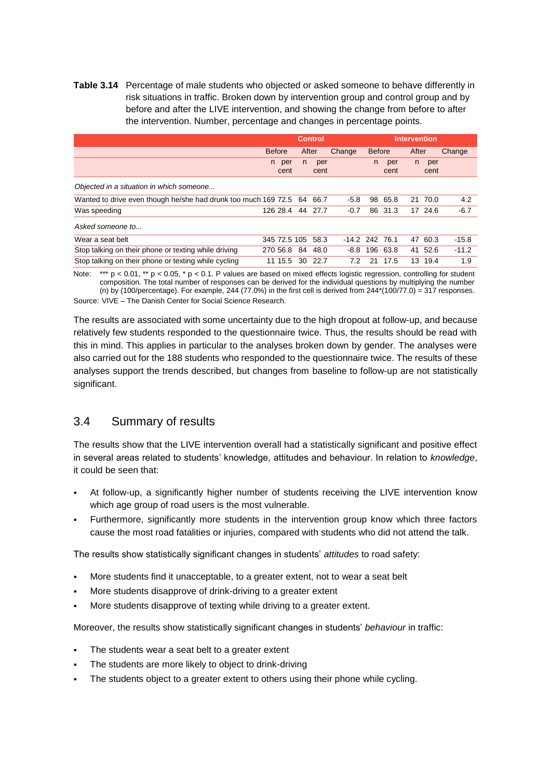**Table 3.14** Percentage of male students who objected or asked someone to behave differently in risk situations in traffic. Broken down by intervention group and control group and by before and after the LIVE intervention, and showing the change from before to after the intervention. Number, percentage and changes in percentage points.

|                                                                   |               |              |    | <b>Control</b> |                         | <b>Intervention</b> |             |    |             |         |
|-------------------------------------------------------------------|---------------|--------------|----|----------------|-------------------------|---------------------|-------------|----|-------------|---------|
|                                                                   | <b>Before</b> |              |    | After          | <b>Before</b><br>Change |                     | After       |    |             | Change  |
|                                                                   | n.            | per<br>cent  | n. | per<br>cent    |                         | n.                  | per<br>cent | n. | per<br>cent |         |
| Objected in a situation in which someone                          |               |              |    |                |                         |                     |             |    |             |         |
| Wanted to drive even though he/she had drunk too much 169 72.5 64 |               |              |    | 66.7           | $-5.8$                  | 98                  | 65.8        |    | 21 70.0     | 4.2     |
| Was speeding                                                      |               | 126 28.4     | 44 | 27.7           | $-0.7$                  | 86                  | 31.3        |    | 17 24.6     | $-6.7$  |
| Asked someone to                                                  |               |              |    |                |                         |                     |             |    |             |         |
| Wear a seat belt                                                  |               | 345 72.5 105 |    | 58.3           | $-14.2$ 242 76.1        |                     |             | 47 | 60.3        | $-15.8$ |
| Stop talking on their phone or texting while driving              |               | 270 56.8     | 84 | 48.0           | -8.8                    | 196                 | 63.8        |    | 41 52.6     | $-11.2$ |
| Stop talking on their phone or texting while cycling              | 11            | 15.5         | 30 | 22.7           | 7.2                     | 21                  | 17.5        | 13 | 19.4        | 1.9     |

Note: \*\*\*  $p < 0.01$ , \*\*  $p < 0.05$ , \*  $p < 0.1$ . P values are based on mixed effects logistic regression, controlling for student composition. The total number of responses can be derived for the individual questions by multiplying the number (n) by (100/percentage). For example, 244 (77.0%) in the first cell is derived from  $244*(100/77.0) = 317$  responses. Source: VIVE – The Danish Center for Social Science Research.

The results are associated with some uncertainty due to the high dropout at follow-up, and because relatively few students responded to the questionnaire twice. Thus, the results should be read with this in mind. This applies in particular to the analyses broken down by gender. The analyses were also carried out for the 188 students who responded to the questionnaire twice. The results of these analyses support the trends described, but changes from baseline to follow-up are not statistically significant.

### <span id="page-36-0"></span>3.4 Summary of results

The results show that the LIVE intervention overall had a statistically significant and positive effect in several areas related to students' knowledge, attitudes and behaviour. In relation to *knowledge*, it could be seen that:

- At follow-up, a significantly higher number of students receiving the LIVE intervention know which age group of road users is the most vulnerable.
- Furthermore, significantly more students in the intervention group know which three factors cause the most road fatalities or injuries, compared with students who did not attend the talk.

The results show statistically significant changes in students' *attitudes* to road safety:

- More students find it unacceptable, to a greater extent, not to wear a seat belt
- More students disapprove of drink-driving to a greater extent
- More students disapprove of texting while driving to a greater extent.

Moreover, the results show statistically significant changes in students' *behaviour* in traffic:

- The students wear a seat belt to a greater extent
- The students are more likely to object to drink-driving
- The students object to a greater extent to others using their phone while cycling.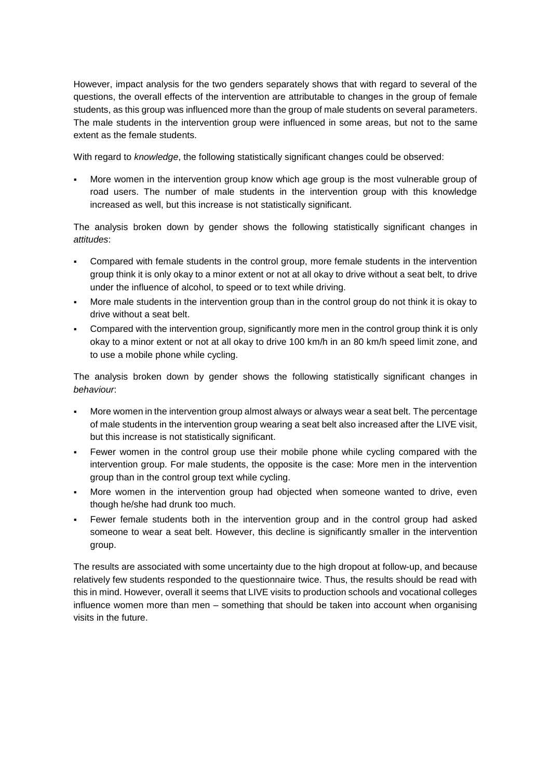However, impact analysis for the two genders separately shows that with regard to several of the questions, the overall effects of the intervention are attributable to changes in the group of female students, as this group was influenced more than the group of male students on several parameters. The male students in the intervention group were influenced in some areas, but not to the same extent as the female students.

With regard to *knowledge*, the following statistically significant changes could be observed:

More women in the intervention group know which age group is the most vulnerable group of road users. The number of male students in the intervention group with this knowledge increased as well, but this increase is not statistically significant.

The analysis broken down by gender shows the following statistically significant changes in *attitudes*:

- Compared with female students in the control group, more female students in the intervention group think it is only okay to a minor extent or not at all okay to drive without a seat belt, to drive under the influence of alcohol, to speed or to text while driving.
- More male students in the intervention group than in the control group do not think it is okay to drive without a seat belt.
- Compared with the intervention group, significantly more men in the control group think it is only okay to a minor extent or not at all okay to drive 100 km/h in an 80 km/h speed limit zone, and to use a mobile phone while cycling.

The analysis broken down by gender shows the following statistically significant changes in *behaviour*:

- More women in the intervention group almost always or always wear a seat belt. The percentage of male students in the intervention group wearing a seat belt also increased after the LIVE visit, but this increase is not statistically significant.
- Fewer women in the control group use their mobile phone while cycling compared with the intervention group. For male students, the opposite is the case: More men in the intervention group than in the control group text while cycling.
- More women in the intervention group had objected when someone wanted to drive, even though he/she had drunk too much.
- Fewer female students both in the intervention group and in the control group had asked someone to wear a seat belt. However, this decline is significantly smaller in the intervention group.

The results are associated with some uncertainty due to the high dropout at follow-up, and because relatively few students responded to the questionnaire twice. Thus, the results should be read with this in mind. However, overall it seems that LIVE visits to production schools and vocational colleges influence women more than men – something that should be taken into account when organising visits in the future.